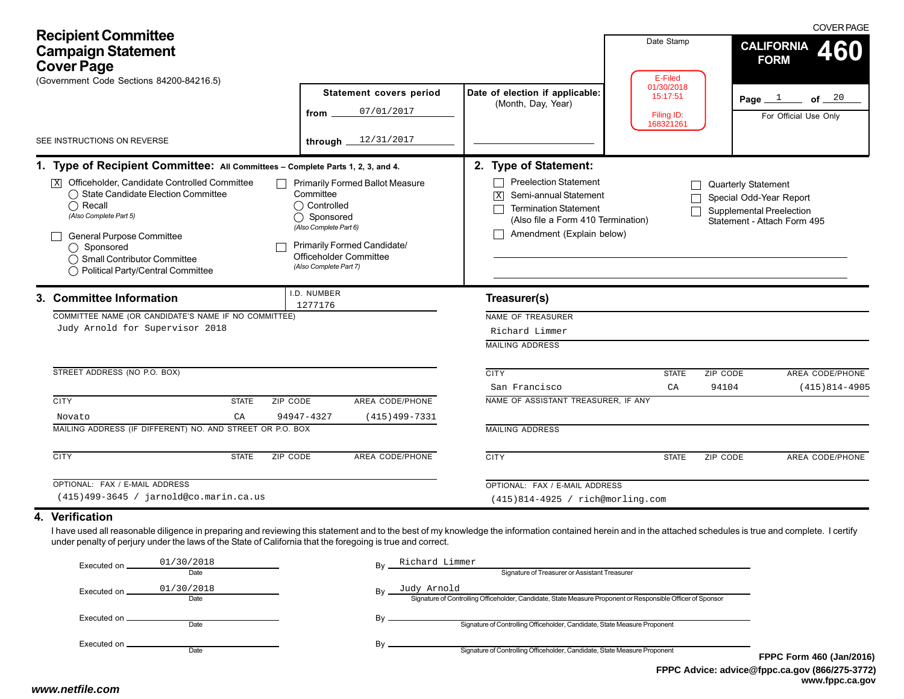| <b>Recipient Committee</b><br><b>Campaign Statement</b><br><b>Cover Page</b><br>(Government Code Sections 84200-84216.5) |                                                                                                                                                                                                                                                                                                                                                                   |                    |                                                                                              | Statement covers period                                                                                | Date Stamp<br>E-Filed<br>01/30/2018                                                                                                                                                    |                                     | <b>COVER PAGE</b><br><b>CALIFORNIA</b><br>460<br><b>FORM</b> |                                                                                           |
|--------------------------------------------------------------------------------------------------------------------------|-------------------------------------------------------------------------------------------------------------------------------------------------------------------------------------------------------------------------------------------------------------------------------------------------------------------------------------------------------------------|--------------------|----------------------------------------------------------------------------------------------|--------------------------------------------------------------------------------------------------------|----------------------------------------------------------------------------------------------------------------------------------------------------------------------------------------|-------------------------------------|--------------------------------------------------------------|-------------------------------------------------------------------------------------------|
|                                                                                                                          |                                                                                                                                                                                                                                                                                                                                                                   |                    | from                                                                                         | 07/01/2017                                                                                             | Date of election if applicable:<br>(Month, Day, Year)                                                                                                                                  | 15:17:51<br>Filing ID:<br>168321261 |                                                              | of $\frac{20}{1}$<br>Page $1$<br>For Official Use Only                                    |
|                                                                                                                          | SEE INSTRUCTIONS ON REVERSE                                                                                                                                                                                                                                                                                                                                       |                    | through                                                                                      | 12/31/2017                                                                                             |                                                                                                                                                                                        |                                     |                                                              |                                                                                           |
|                                                                                                                          | 1. Type of Recipient Committee: All Committees - Complete Parts 1, 2, 3, and 4.<br>$\overline{\mathbb{X}}$ Officeholder, Candidate Controlled Committee<br>◯ State Candidate Election Committee<br>$\bigcap$ Recall<br>(Also Complete Part 5)<br>General Purpose Committee<br>◯ Sponsored<br>◯ Small Contributor Committee<br>◯ Political Party/Central Committee |                    | Committee<br>◯ Controlled<br>◯ Sponsored<br>(Also Complete Part 6)<br>(Also Complete Part 7) | <b>Primarily Formed Ballot Measure</b><br>Primarily Formed Candidate/<br><b>Officeholder Committee</b> | 2. Type of Statement:<br><b>Preelection Statement</b><br>Semi-annual Statement<br>図<br><b>Termination Statement</b><br>(Also file a Form 410 Termination)<br>Amendment (Explain below) |                                     | Quarterly Statement                                          | Special Odd-Year Report<br><b>Supplemental Preelection</b><br>Statement - Attach Form 495 |
|                                                                                                                          | 3. Committee Information<br>COMMITTEE NAME (OR CANDIDATE'S NAME IF NO COMMITTEE)<br>Judy Arnold for Supervisor 2018                                                                                                                                                                                                                                               |                    | I.D. NUMBER<br>1277176                                                                       |                                                                                                        | Treasurer(s)<br>NAME OF TREASURER<br>Richard Limmer<br><b>MAILING ADDRESS</b>                                                                                                          |                                     |                                                              |                                                                                           |
|                                                                                                                          | STREET ADDRESS (NO P.O. BOX)                                                                                                                                                                                                                                                                                                                                      |                    |                                                                                              |                                                                                                        | <b>CITY</b>                                                                                                                                                                            | <b>STATE</b>                        | ZIP CODE                                                     | AREA CODE/PHONE                                                                           |
|                                                                                                                          | <b>CITY</b><br>Novato<br>MAILING ADDRESS (IF DIFFERENT) NO. AND STREET OR P.O. BOX                                                                                                                                                                                                                                                                                | <b>STATE</b><br>CA | ZIP CODE<br>94947-4327                                                                       | AREA CODE/PHONE<br>$(415)499 - 7331$                                                                   | San Francisco<br>NAME OF ASSISTANT TREASURER, IF ANY<br><b>MAILING ADDRESS</b>                                                                                                         | CA                                  | 94104                                                        | $(415)814-4905$                                                                           |
|                                                                                                                          | <b>CITY</b>                                                                                                                                                                                                                                                                                                                                                       | <b>STATE</b>       | ZIP CODE                                                                                     | AREA CODE/PHONE                                                                                        | <b>CITY</b>                                                                                                                                                                            | <b>STATE</b>                        | ZIP CODE                                                     | AREA CODE/PHONE                                                                           |
|                                                                                                                          | OPTIONAL: FAX / E-MAIL ADDRESS<br>$(415)499-3645$ / jarnold@co.marin.ca.us                                                                                                                                                                                                                                                                                        |                    |                                                                                              | OPTIONAL: FAX / E-MAIL ADDRESS<br>(415)814-4925 / rich@morling.com                                     |                                                                                                                                                                                        |                                     |                                                              |                                                                                           |
|                                                                                                                          | 4. Verification<br>I have used all reasonable diligence in preparing and reviewing this statement and to the best of my knowledge the information contained herein and in the attached schedules is true and complete. I certify<br>under penalty of perjury under the laws of the State of California that the foregoing is true and correct.                    |                    |                                                                                              |                                                                                                        |                                                                                                                                                                                        |                                     |                                                              |                                                                                           |

| Executed on.   | 01/30/2018         | Bv | Richard Limmer                                                                                                             |    |  |  |  |
|----------------|--------------------|----|----------------------------------------------------------------------------------------------------------------------------|----|--|--|--|
|                | Date               |    | Signature of Treasurer or Assistant Treasurer                                                                              |    |  |  |  |
| Executed on.   | 01/30/2018<br>Date | Bv | Judy Arnold<br>Signature of Controlling Officeholder, Candidate, State Measure Proponent or Responsible Officer of Sponsor |    |  |  |  |
| Executed on _  | Date               |    | Signature of Controlling Officeholder, Candidate, State Measure Proponent                                                  |    |  |  |  |
| Executed on __ | Date               |    | Signature of Controlling Officeholder, Candidate, State Measure Proponent                                                  | FF |  |  |  |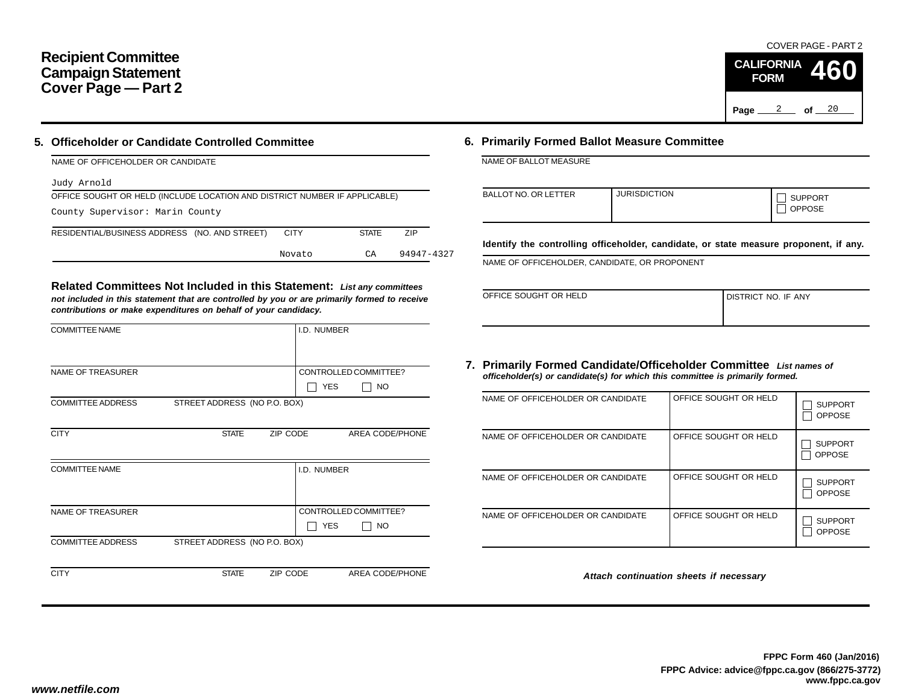## **Recipient Committee Campaign Statement Cover Page — Part 2**

### **5. Officeholder or Candidate Controlled Committee**

| NAME OF OFFICEHOLDER OR CANDIDATE                                          |             |              |            |  |  |  |  |  |  |
|----------------------------------------------------------------------------|-------------|--------------|------------|--|--|--|--|--|--|
| Judy Arnold                                                                |             |              |            |  |  |  |  |  |  |
| OFFICE SOUGHT OR HELD (INCLUDE LOCATION AND DISTRICT NUMBER IF APPLICABLE) |             |              |            |  |  |  |  |  |  |
| County Supervisor: Marin County                                            |             |              |            |  |  |  |  |  |  |
| RESIDENTIAL/BUSINESS ADDRESS (NO. AND STREET)                              | <b>CITY</b> | <b>STATE</b> | <b>ZIP</b> |  |  |  |  |  |  |
|                                                                            | Novato      | СA           | 94947-4327 |  |  |  |  |  |  |

**Related Committees Not Included in this Statement:** *List any committees not included in this statement that are controlled by you or are primarily formed to receive contributions or make expenditures on behalf of your candidacy.*

|              |            | CONTROLLED COMMITTEE?                                                                                              |
|--------------|------------|--------------------------------------------------------------------------------------------------------------------|
|              | <b>YES</b> | <b>NO</b>                                                                                                          |
|              |            |                                                                                                                    |
|              |            |                                                                                                                    |
| <b>STATE</b> |            | AREA CODE/PHONE                                                                                                    |
|              |            |                                                                                                                    |
|              |            |                                                                                                                    |
|              |            |                                                                                                                    |
|              |            |                                                                                                                    |
|              |            | CONTROLLED COMMITTEE?                                                                                              |
|              | <b>YES</b> | <b>NO</b>                                                                                                          |
|              |            |                                                                                                                    |
|              |            |                                                                                                                    |
| <b>STATE</b> |            | <b>AREA CODE/PHONE</b>                                                                                             |
|              |            | I.D. NUMBER<br>STREET ADDRESS (NO P.O. BOX)<br>ZIP CODE<br>I.D. NUMBER<br>STREET ADDRESS (NO P.O. BOX)<br>ZIP CODE |

### **6. Primarily Formed Ballot Measure Committee**

NAME OF BALLOT MEASURE

| BALLOT NO. OR LETTER | <b>JURISDICTION</b> | <b>SUPPORT</b><br><b>OPPOSE</b> |
|----------------------|---------------------|---------------------------------|

**Identify the controlling officeholder, candidate, or state measure proponent, if any.**

NAME OF OFFICEHOLDER, CANDIDATE, OR PROPONENT

| OFFICE SOUGHT OR HELD | <b>I DISTRICT NO. IF ANY</b> |
|-----------------------|------------------------------|
|                       |                              |

#### **7. Primarily Formed Candidate/Officeholder Committee** *List names of officeholder(s) or candidate(s) for which this committee is primarily formed.*

| NAME OF OFFICEHOLDER OR CANDIDATE | OFFICE SOUGHT OR HELD | <b>SUPPORT</b><br><b>OPPOSE</b> |
|-----------------------------------|-----------------------|---------------------------------|
| NAME OF OFFICEHOLDER OR CANDIDATE | OFFICE SOUGHT OR HELD | <b>SUPPORT</b><br><b>OPPOSE</b> |
| NAME OF OFFICEHOLDER OR CANDIDATE | OFFICE SOUGHT OR HELD | <b>SUPPORT</b><br><b>OPPOSE</b> |
| NAME OF OFFICEHOLDER OR CANDIDATE | OFFICE SOUGHT OR HELD | <b>SUPPORT</b><br><b>OPPOSE</b> |

*Attach continuation sheets if necessary*

COVER PAGE - PART 2

**460**

Page <u>2</u> of 20

**CALIFORNIA FORM**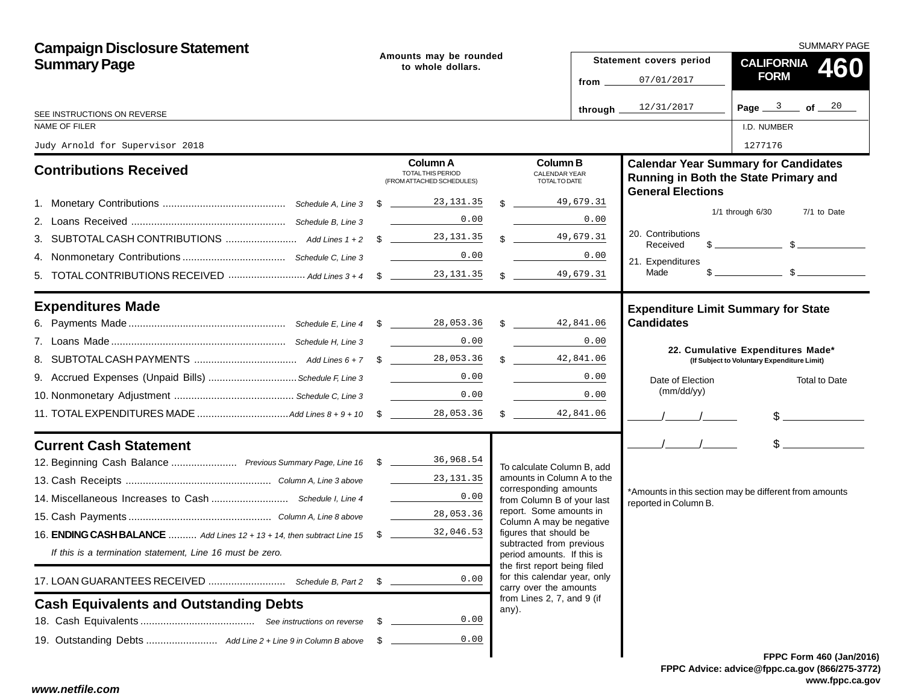| <b>Campaign Disclosure Statement</b>                                      |      |                                                                                                                                                                        |                                                                                        | SUMMARY PAGE                  |                                                                                                                                                                                                                                                                                                                     |  |  |
|---------------------------------------------------------------------------|------|------------------------------------------------------------------------------------------------------------------------------------------------------------------------|----------------------------------------------------------------------------------------|-------------------------------|---------------------------------------------------------------------------------------------------------------------------------------------------------------------------------------------------------------------------------------------------------------------------------------------------------------------|--|--|
| <b>Summary Page</b>                                                       |      | Amounts may be rounded<br>to whole dollars.                                                                                                                            |                                                                                        | Statement covers period       | CALIFORNIA 460                                                                                                                                                                                                                                                                                                      |  |  |
|                                                                           |      |                                                                                                                                                                        | from _                                                                                 | 07/01/2017                    | <b>FORM</b>                                                                                                                                                                                                                                                                                                         |  |  |
| SEE INSTRUCTIONS ON REVERSE                                               |      |                                                                                                                                                                        | through.                                                                               | 12/31/2017                    | Page $3$ of $20$                                                                                                                                                                                                                                                                                                    |  |  |
| NAME OF FILER                                                             |      |                                                                                                                                                                        |                                                                                        |                               | I.D. NUMBER                                                                                                                                                                                                                                                                                                         |  |  |
| Judy Arnold for Supervisor 2018                                           |      |                                                                                                                                                                        |                                                                                        |                               | 1277176                                                                                                                                                                                                                                                                                                             |  |  |
| <b>Contributions Received</b>                                             |      | Column A<br>TOTAL THIS PERIOD<br>(FROM ATTACHED SCHEDULES)                                                                                                             | <b>Column B</b><br><b>CALENDAR YEAR</b><br><b>TOTALTO DATE</b>                         | <b>General Elections</b>      | <b>Calendar Year Summary for Candidates</b><br>Running in Both the State Primary and                                                                                                                                                                                                                                |  |  |
|                                                                           |      |                                                                                                                                                                        | 49,679.31<br>$\mathbb{S}$                                                              |                               |                                                                                                                                                                                                                                                                                                                     |  |  |
|                                                                           |      | 0.00                                                                                                                                                                   | 0.00                                                                                   |                               | $1/1$ through $6/30$<br>7/1 to Date                                                                                                                                                                                                                                                                                 |  |  |
|                                                                           |      |                                                                                                                                                                        | $\frac{49,679.31}{\frac{1}{2}}$                                                        | 20. Contributions<br>Received | $\frac{1}{2}$ $\frac{1}{2}$ $\frac{1}{2}$ $\frac{1}{2}$ $\frac{1}{2}$ $\frac{1}{2}$ $\frac{1}{2}$ $\frac{1}{2}$ $\frac{1}{2}$ $\frac{1}{2}$ $\frac{1}{2}$ $\frac{1}{2}$ $\frac{1}{2}$ $\frac{1}{2}$ $\frac{1}{2}$ $\frac{1}{2}$ $\frac{1}{2}$ $\frac{1}{2}$ $\frac{1}{2}$ $\frac{1}{2}$ $\frac{1}{2}$ $\frac{1}{2}$ |  |  |
|                                                                           |      | 0.00                                                                                                                                                                   | 0.00                                                                                   | 21. Expenditures              |                                                                                                                                                                                                                                                                                                                     |  |  |
|                                                                           |      |                                                                                                                                                                        | 49,679.31<br>$\mathbb{S}$                                                              | Made                          |                                                                                                                                                                                                                                                                                                                     |  |  |
| <b>Expenditures Made</b>                                                  |      |                                                                                                                                                                        |                                                                                        |                               | <b>Expenditure Limit Summary for State</b>                                                                                                                                                                                                                                                                          |  |  |
|                                                                           |      |                                                                                                                                                                        |                                                                                        | <b>Candidates</b>             |                                                                                                                                                                                                                                                                                                                     |  |  |
|                                                                           |      | 0.00                                                                                                                                                                   | 0.00                                                                                   |                               | 22. Cumulative Expenditures Made*                                                                                                                                                                                                                                                                                   |  |  |
|                                                                           |      |                                                                                                                                                                        | $\mathbb{S}$<br>42,841.06                                                              |                               | (If Subject to Voluntary Expenditure Limit)                                                                                                                                                                                                                                                                         |  |  |
| 9. Accrued Expenses (Unpaid Bills)  Schedule F, Line 3                    |      | 0.00                                                                                                                                                                   | 0.00                                                                                   | Date of Election              | <b>Total to Date</b>                                                                                                                                                                                                                                                                                                |  |  |
|                                                                           |      | 0.00<br>$\label{eq:2.1} \frac{1}{\sqrt{2\pi}}\left(\frac{1}{\sqrt{2\pi}}\right)^{1/2}\left(\frac{1}{\sqrt{2\pi}}\right)^{1/2}\left(\frac{1}{\sqrt{2\pi}}\right)^{1/2}$ | 0.00                                                                                   | (mm/dd/yy)                    |                                                                                                                                                                                                                                                                                                                     |  |  |
|                                                                           |      | 28,053.36                                                                                                                                                              | $\frac{1}{2}$<br>42,841.06                                                             |                               | $\frac{1}{2}$                                                                                                                                                                                                                                                                                                       |  |  |
| <b>Current Cash Statement</b>                                             |      |                                                                                                                                                                        |                                                                                        | $\frac{1}{\sqrt{2}}$          | $\frac{1}{2}$                                                                                                                                                                                                                                                                                                       |  |  |
| 12. Beginning Cash Balance  Previous Summary Page, Line 16 \$ 18.968.54   |      |                                                                                                                                                                        | To calculate Column B, add                                                             |                               |                                                                                                                                                                                                                                                                                                                     |  |  |
|                                                                           |      | 23,131,35                                                                                                                                                              | amounts in Column A to the<br>corresponding amounts                                    |                               |                                                                                                                                                                                                                                                                                                                     |  |  |
|                                                                           |      | 0.00                                                                                                                                                                   | from Column B of your last                                                             | reported in Column B.         | *Amounts in this section may be different from amounts                                                                                                                                                                                                                                                              |  |  |
|                                                                           |      | 28,053.36                                                                                                                                                              | report. Some amounts in<br>Column A may be negative                                    |                               |                                                                                                                                                                                                                                                                                                                     |  |  |
| 16. ENDING CASH BALANCE  Add Lines 12 + 13 + 14, then subtract Line 15 \$ |      | 32,046.53                                                                                                                                                              | figures that should be                                                                 |                               |                                                                                                                                                                                                                                                                                                                     |  |  |
| If this is a termination statement, Line 16 must be zero.                 |      |                                                                                                                                                                        | subtracted from previous<br>period amounts. If this is<br>the first report being filed |                               |                                                                                                                                                                                                                                                                                                                     |  |  |
| 17. LOAN GUARANTEES RECEIVED  Schedule B, Part 2                          | \$   | 0.00                                                                                                                                                                   | for this calendar year, only<br>carry over the amounts                                 |                               |                                                                                                                                                                                                                                                                                                                     |  |  |
| <b>Cash Equivalents and Outstanding Debts</b>                             |      |                                                                                                                                                                        | from Lines 2, 7, and 9 (if<br>any).                                                    |                               |                                                                                                                                                                                                                                                                                                                     |  |  |
|                                                                           | - \$ | 0.00                                                                                                                                                                   |                                                                                        |                               |                                                                                                                                                                                                                                                                                                                     |  |  |
|                                                                           | - \$ | 0.00                                                                                                                                                                   |                                                                                        |                               |                                                                                                                                                                                                                                                                                                                     |  |  |
|                                                                           |      |                                                                                                                                                                        |                                                                                        |                               | FPPC Form 460 (Jan/201                                                                                                                                                                                                                                                                                              |  |  |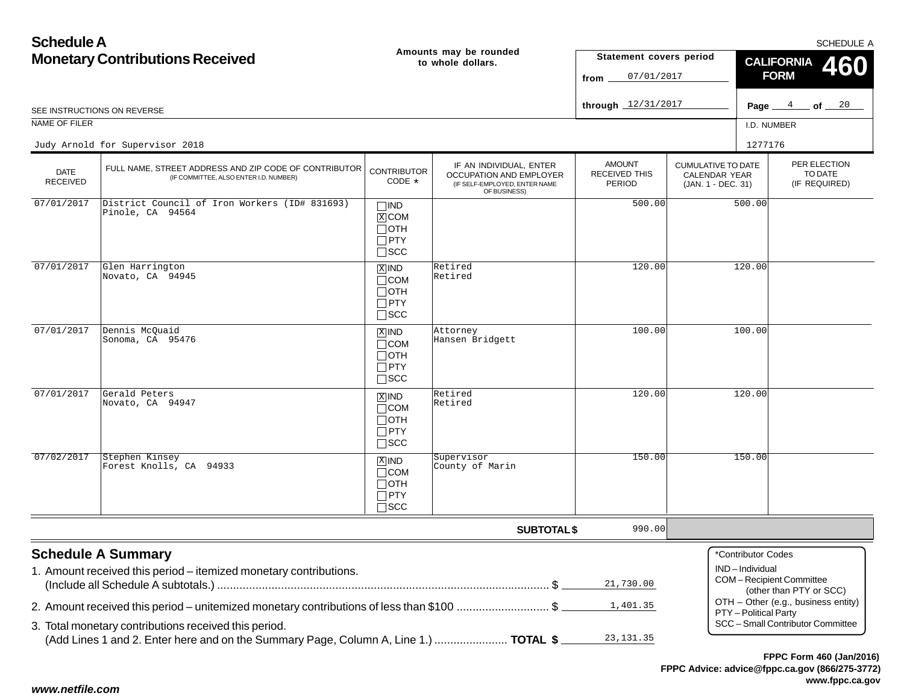| <b>Schedule A</b>                      |                                                                                                                                               |                                                                       |                                                                                                     |                                                 |                                                                  |                                                                                            | <b>SCHEDULE A</b>    |  |
|----------------------------------------|-----------------------------------------------------------------------------------------------------------------------------------------------|-----------------------------------------------------------------------|-----------------------------------------------------------------------------------------------------|-------------------------------------------------|------------------------------------------------------------------|--------------------------------------------------------------------------------------------|----------------------|--|
| <b>Monetary Contributions Received</b> |                                                                                                                                               |                                                                       | Amounts may be rounded<br>to whole dollars.                                                         | Statement covers period<br>07/01/2017<br>from   |                                                                  | <b>CALIFORNIA</b><br><b>FORM</b>                                                           |                      |  |
|                                        | SEE INSTRUCTIONS ON REVERSE                                                                                                                   |                                                                       |                                                                                                     | through 12/31/2017                              |                                                                  | 4<br>Page _                                                                                | $\_$ of $\_$ $^{20}$ |  |
| NAME OF FILER                          |                                                                                                                                               |                                                                       |                                                                                                     |                                                 |                                                                  | I.D. NUMBER                                                                                |                      |  |
|                                        | Judy Arnold for Supervisor 2018                                                                                                               |                                                                       |                                                                                                     |                                                 |                                                                  | 1277176                                                                                    |                      |  |
| DATE<br><b>RECEIVED</b>                | FULL NAME, STREET ADDRESS AND ZIP CODE OF CONTRIBUTOR<br>(IF COMMITTEE, ALSO ENTER I.D. NUMBER)                                               | <b>CONTRIBUTOR</b><br>$CODE *$                                        | IF AN INDIVIDUAL, ENTER<br>OCCUPATION AND EMPLOYER<br>(IF SELF-EMPLOYED, ENTER NAME<br>OF BUSINESS) | <b>AMOUNT</b><br>RECEIVED THIS<br><b>PERIOD</b> | <b>CUMULATIVE TO DATE</b><br>CALENDAR YEAR<br>(JAN. 1 - DEC. 31) | PER ELECTION<br>TO DATE<br>(IF REQUIRED)                                                   |                      |  |
| 07/01/2017                             | District Council of Iron Workers (ID# 831693)<br>Pinole, CA 94564                                                                             | $\square$ IND<br>$X$ COM<br>$\Box$ OTH<br>$\Box$ PTY<br>$\square$ SCC |                                                                                                     | 500.00                                          |                                                                  | 500.00                                                                                     |                      |  |
| 07/01/2017                             | Glen Harrington<br>Novato, CA 94945                                                                                                           | $X$ IND<br>$\Box$ COM<br>$\Box$ OTH<br>$\square$ PTY<br>$\square$ SCC | Retired<br>Retired                                                                                  | 120.00                                          |                                                                  | 120.00                                                                                     |                      |  |
| 07/01/2017                             | Dennis McQuaid<br>Sonoma, CA 95476                                                                                                            | $X$ IND<br>$\Box$ COM<br>$\Box$ OTH<br>$\Box$ PTY<br>$\Box$ SCC       | Attorney<br>Hansen Bridgett                                                                         | 100.00                                          |                                                                  | 100.00                                                                                     |                      |  |
| 07/01/2017                             | Gerald Peters<br>Novato, CA 94947                                                                                                             | $X$ IND<br>$\Box$ COM<br>$\Box$ OTH<br>$\Box$ PTY<br>$\square$ SCC    | Retired<br>Retired                                                                                  | 120.00                                          |                                                                  | 120.00                                                                                     |                      |  |
| 07/02/2017                             | Stephen Kinsey<br>Forest Knolls, CA 94933                                                                                                     | $X$ IND<br>$\Box$ COM<br>$\Box$ OTH<br>$\Box$ PTY<br>$\Box$ SCC       | Supervisor<br>County of Marin                                                                       | 150.00                                          |                                                                  | 150.00                                                                                     |                      |  |
|                                        |                                                                                                                                               |                                                                       | <b>SUBTOTAL \$</b>                                                                                  | 990.00                                          |                                                                  |                                                                                            |                      |  |
|                                        | <b>Schedule A Summary</b><br>1. Amount received this period - itemized monetary contributions.                                                |                                                                       |                                                                                                     | 21,730.00                                       |                                                                  | *Contributor Codes<br>IND-Individual<br>COM-Recipient Committee<br>(other than PTY or SCC) |                      |  |
|                                        | 2. Amount received this period – unitemized monetary contributions of less than \$100 \$                                                      |                                                                       |                                                                                                     | 1,401.35                                        |                                                                  | OTH - Other (e.g., business entity)<br>PTY - Political Party                               |                      |  |
|                                        | 3. Total monetary contributions received this period.<br>(Add Lines 1 and 2. Enter here and on the Summary Page, Column A, Line 1.)  TOTAL \$ |                                                                       |                                                                                                     | 23, 131.35                                      |                                                                  | SCC - Small Contributor Committee                                                          |                      |  |
|                                        |                                                                                                                                               |                                                                       |                                                                                                     |                                                 |                                                                  | FPPC Form 460 (Jan/2016)                                                                   |                      |  |

*www.netfile.com*

**www.fppc.ca.gov**

**FPPC Advice: advice@fppc.ca.gov (866/275-3772)**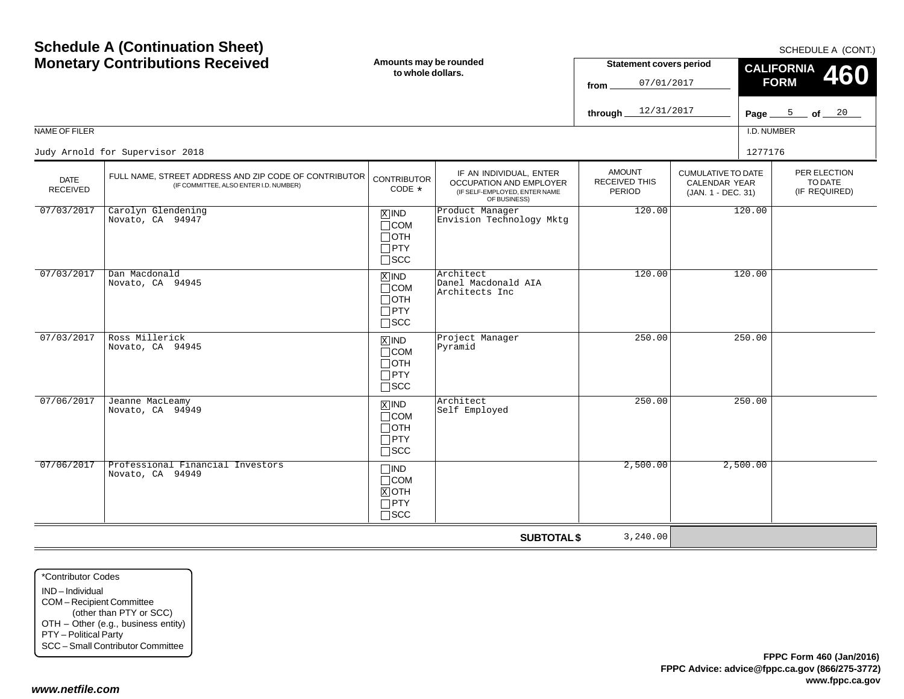| <b>Schedule A (Continuation Sheet)</b><br><b>Monetary Contributions Received</b> |                                                                                                 | Amounts may be rounded<br>to whole dollars.                                   |                                                                                                            | <b>Statement covers period</b><br>07/01/2017<br>from<br>12/31/2017<br>through. |                                                                         | SCHEDULE A (CONT.)<br><b>CALIFORNIA</b><br>460<br><b>FORM</b><br>Page $\frac{5}{20}$ of $\frac{20}{20}$<br>I.D. NUMBER |                                          |  |
|----------------------------------------------------------------------------------|-------------------------------------------------------------------------------------------------|-------------------------------------------------------------------------------|------------------------------------------------------------------------------------------------------------|--------------------------------------------------------------------------------|-------------------------------------------------------------------------|------------------------------------------------------------------------------------------------------------------------|------------------------------------------|--|
| NAME OF FILER                                                                    | Judy Arnold for Supervisor 2018                                                                 |                                                                               |                                                                                                            |                                                                                |                                                                         | 1277176                                                                                                                |                                          |  |
| <b>DATE</b><br><b>RECEIVED</b>                                                   | FULL NAME, STREET ADDRESS AND ZIP CODE OF CONTRIBUTOR<br>(IF COMMITTEE, ALSO ENTER I.D. NUMBER) | <b>CONTRIBUTOR</b><br>CODE *                                                  | IF AN INDIVIDUAL, ENTER<br><b>OCCUPATION AND EMPLOYER</b><br>(IF SELF-EMPLOYED, ENTER NAME<br>OF BUSINESS) | <b>AMOUNT</b><br><b>RECEIVED THIS</b><br><b>PERIOD</b>                         | <b>CUMULATIVE TO DATE</b><br><b>CALENDAR YEAR</b><br>(JAN. 1 - DEC. 31) |                                                                                                                        | PER ELECTION<br>TO DATE<br>(IF REQUIRED) |  |
| 07/03/2017                                                                       | Carolyn Glendening<br>Novato, CA 94947                                                          | $X$ IND<br>$\Box$ COM<br>$\Box$ OTH<br>$\Box$ PTY<br>$\square$ SCC            | Product Manager<br>Envision Technology Mktg                                                                | 120.00                                                                         |                                                                         | 120.00                                                                                                                 |                                          |  |
| 07/03/2017                                                                       | Dan Macdonald<br>Novato, CA 94945                                                               | $\overline{X}$ IND<br>$\Box$ COM<br>$\Box$ OTH<br>$\Box$ PTY<br>$\square$ scc | Architect<br>Danel Macdonald AIA<br>Architects Inc                                                         | 120.00                                                                         |                                                                         | 120.00                                                                                                                 |                                          |  |
| 07/03/2017                                                                       | Ross Millerick<br>Novato, CA 94945                                                              | $X$ IND<br>$\Box$ COM<br>$\Box$ OTH<br>$\Box$ PTY<br>$\square$ SCC            | Project Manager<br>Pyramid                                                                                 | 250.00                                                                         |                                                                         | 250.00                                                                                                                 |                                          |  |
| 07/06/2017                                                                       | Jeanne MacLeamy<br>Novato, CA 94949                                                             | $\overline{X}$ IND<br>$\Box$ COM<br>$\Box$ OTH<br>$\Box$ PTY<br>$\square$ SCC | Architect<br>Self Employed                                                                                 | 250.00                                                                         |                                                                         | 250.00                                                                                                                 |                                          |  |
| 07/06/2017                                                                       | Professional Financial Investors<br>Novato, CA 94949                                            | $\Box$ IND<br>$\Box$ COM<br>$X$ OTH<br>$\Box$ PTY<br>$\Box$ scc               |                                                                                                            | 2,500.00                                                                       |                                                                         | 2,500.00                                                                                                               |                                          |  |
|                                                                                  |                                                                                                 |                                                                               | <b>SUBTOTAL \$</b>                                                                                         | 3,240.00                                                                       |                                                                         |                                                                                                                        |                                          |  |

\*Contributor CodesIND – Individual COM – Recipient Committee (other than PTY or SCC) OTH – Other (e.g., business entity) PTY – Political Party SCC – Small Contributor Committee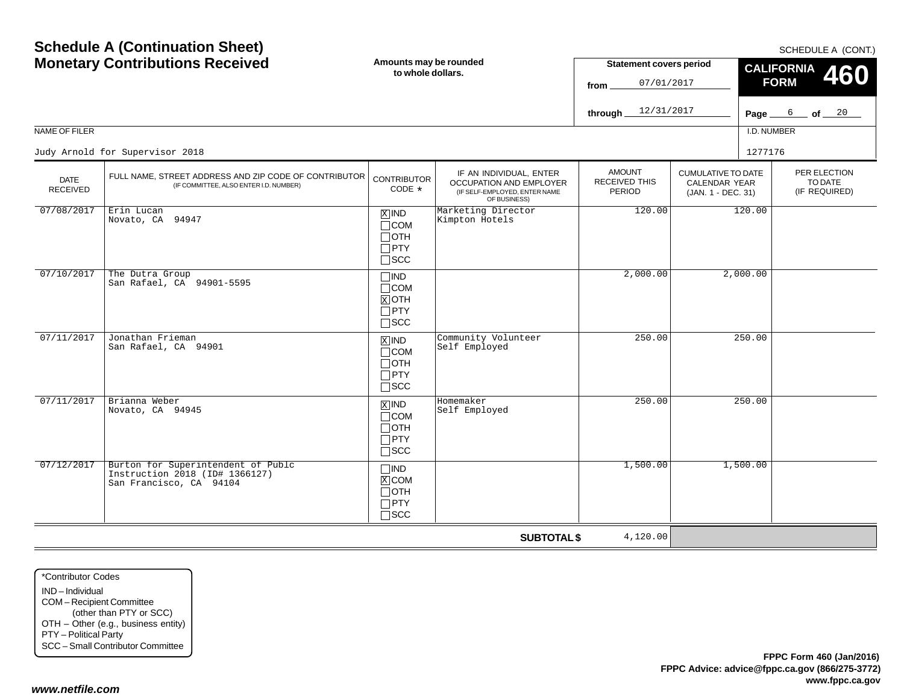**www.fppc.ca.gov**

**FPPC Advice: advice@fppc.ca.gov (866/275-3772)**

|                         |                                                                                                 | w www.www.                                                                    |                                                                                                     | 07/01/2017<br>from                       |                                                                  | 40U<br><b>FORM</b>                       |
|-------------------------|-------------------------------------------------------------------------------------------------|-------------------------------------------------------------------------------|-----------------------------------------------------------------------------------------------------|------------------------------------------|------------------------------------------------------------------|------------------------------------------|
|                         |                                                                                                 |                                                                               |                                                                                                     | through $12/31/2017$                     |                                                                  | Page $6$ of $20$                         |
| NAME OF FILER           |                                                                                                 |                                                                               |                                                                                                     |                                          |                                                                  | I.D. NUMBER                              |
|                         | Judy Arnold for Supervisor 2018                                                                 |                                                                               |                                                                                                     |                                          |                                                                  | 1277176                                  |
| <b>DATE</b><br>RECEIVED | FULL NAME, STREET ADDRESS AND ZIP CODE OF CONTRIBUTOR<br>(IF COMMITTEE, ALSO ENTER I.D. NUMBER) | <b>CONTRIBUTOR</b><br>$CODE *$                                                | IF AN INDIVIDUAL, ENTER<br>OCCUPATION AND EMPLOYER<br>(IF SELF-EMPLOYED, ENTER NAME<br>OF BUSINESS) | <b>AMOUNT</b><br>RECEIVED THIS<br>PERIOD | <b>CUMULATIVE TO DATE</b><br>CALENDAR YEAR<br>(JAN. 1 - DEC. 31) | PER ELECTION<br>TO DATE<br>(IF REQUIRED) |
| 07/08/2017              | Erin Lucan<br>Novato, CA 94947                                                                  | $\overline{X}$ IND<br>$\Box$ COM<br>$\Box$ OTH<br>$\Box$ PTY<br>$\square$ SCC | Marketing Director<br>Kimpton Hotels                                                                | 120.00                                   |                                                                  | 120.00                                   |
| 07/10/2017              | The Dutra Group<br>San Rafael, CA 94901-5595                                                    | $\Box$ IND<br>$\Box$ COM<br>$X$ OTH<br>$\Box$ PTY<br>$\Box$ SCC               |                                                                                                     | 2,000.00                                 | 2,000.00                                                         |                                          |
| 07/11/2017              | Jonathan Frieman<br>San Rafael, CA 94901                                                        | $X$ IND<br>$\Box$ COM<br>$\Box$ OTH<br>$\Box$ PTY<br>$\Box$ scc               | Community Volunteer<br>Self Employed                                                                | 250.00                                   |                                                                  | 250.00                                   |
| 07/11/2017              | Brianna Weber<br>Novato, CA 94945                                                               | $\overline{X}$ IND<br>$\Box$ COM<br>$\Box$ OTH<br>$\Box$ PTY<br>$\Box$ SCC    | Homemaker<br>Self Employed                                                                          | 250.00                                   |                                                                  | 250.00                                   |
| 07/12/2017              | Burton for Superintendent of Publc<br>Instruction 2018 (ID# 1366127)<br>San Francisco, CA 94104 | $\Box$ IND<br>$X$ COM<br>$\Box$ OTH<br>$\Box$ PTY<br>$\square$ SCC            |                                                                                                     | 1,500.00                                 | 1,500.00                                                         |                                          |
|                         |                                                                                                 |                                                                               | <b>SUBTOTAL \$</b>                                                                                  | 4,120.00                                 |                                                                  |                                          |

**Amounts may be rounded to whole dollars.**

**Schedule A (Continuation Sheet) Monetary Contributions Received**

#### SCHEDULE A (CONT.)

**460**

**CALIFORNIA**

**Statement covers period**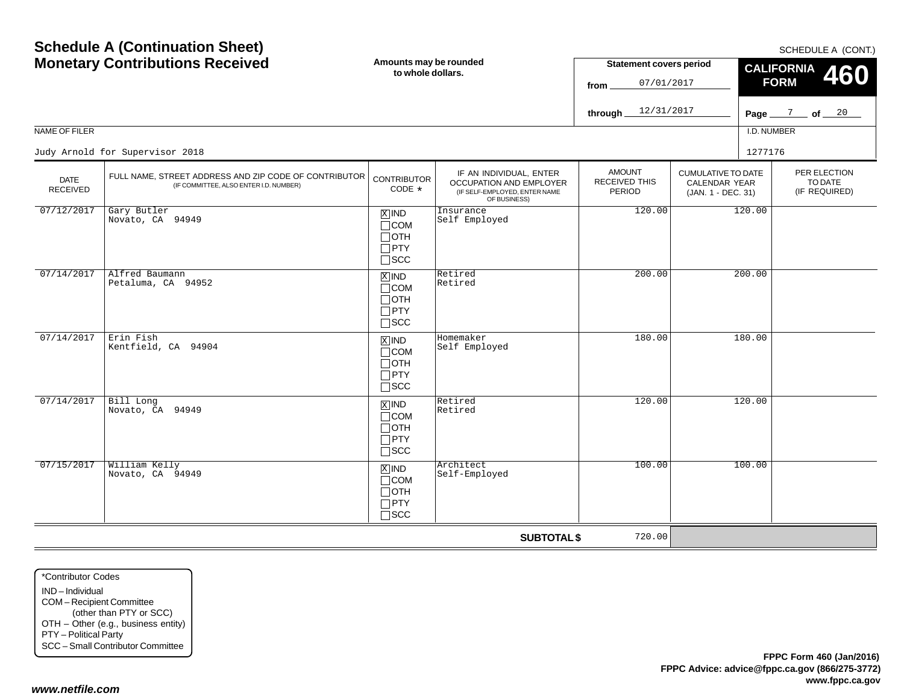| <b>Monetary Contributions Received</b> |                                                                                                 | Amounts may be rounded<br>to whole dollars.                                       |                                                                                                     | <b>Statement covers period</b><br>07/01/2017<br>from.  |                                                                  | <b>CALIFORNIA</b><br>460<br><b>FORM</b> |                                          |  |
|----------------------------------------|-------------------------------------------------------------------------------------------------|-----------------------------------------------------------------------------------|-----------------------------------------------------------------------------------------------------|--------------------------------------------------------|------------------------------------------------------------------|-----------------------------------------|------------------------------------------|--|
|                                        |                                                                                                 |                                                                                   |                                                                                                     | 12/31/2017<br>through                                  |                                                                  | Page $\frac{7}{2}$ of $\frac{20}{2}$    |                                          |  |
| NAME OF FILER                          |                                                                                                 |                                                                                   |                                                                                                     |                                                        |                                                                  | I.D. NUMBER                             |                                          |  |
|                                        | Judy Arnold for Supervisor 2018                                                                 |                                                                                   |                                                                                                     |                                                        |                                                                  | 1277176                                 |                                          |  |
| <b>DATE</b><br>RECEIVED                | FULL NAME, STREET ADDRESS AND ZIP CODE OF CONTRIBUTOR<br>(IF COMMITTEE, ALSO ENTER I.D. NUMBER) | <b>CONTRIBUTOR</b><br>CODE *                                                      | IF AN INDIVIDUAL, ENTER<br>OCCUPATION AND EMPLOYER<br>(IF SELF-EMPLOYED, ENTER NAME<br>OF BUSINESS) | <b>AMOUNT</b><br><b>RECEIVED THIS</b><br><b>PERIOD</b> | <b>CUMULATIVE TO DATE</b><br>CALENDAR YEAR<br>(JAN. 1 - DEC. 31) |                                         | PER ELECTION<br>TO DATE<br>(IF REQUIRED) |  |
| 07/12/2017                             | Gary Butler<br>Novato, CA 94949                                                                 | $\overline{X}$ IND<br>$\Box$ COM<br>$\Box$ OTH<br>$\Box$ PTY<br>$\square$ SCC     | Insurance<br>Self Employed                                                                          | 120.00                                                 |                                                                  | 120.00                                  |                                          |  |
| 07/14/2017                             | Alfred Baumann<br>Petaluma, CA 94952                                                            | $X$ IND<br>$\Box$ COM<br>$\Box$ OTH<br>$\Box$ PTY<br>$\Box$ SCC                   | Retired<br>Retired                                                                                  | 200.00                                                 |                                                                  | 200.00                                  |                                          |  |
| 07/14/2017                             | Erin Fish<br>Kentfield, CA 94904                                                                | $X$ IND<br>$\Box$ COM<br>$\Box$ OTH<br>$\Box$ PTY<br>$\square$ SCC                | Homemaker<br>Self Employed                                                                          | 180.00                                                 |                                                                  | 180.00                                  |                                          |  |
| 07/14/2017                             | Bill Long<br>Novato, CA 94949                                                                   | $\boxed{\text{X}}$ IND<br>$\Box$ COM<br>$\Box$ OTH<br>$\Box$ PTY<br>$\square$ SCC | Retired<br>Retired                                                                                  | 120.00                                                 |                                                                  | 120.00                                  |                                          |  |
| 07/15/2017                             | William Kelly<br>Novato, CA 94949                                                               | $X$ IND<br>$\Box$ COM<br>$\Box$ OTH<br>$\Box$ PTY<br>$\square$ SCC                | Architect<br>Self-Employed                                                                          | 100.00                                                 |                                                                  | 100.00                                  |                                          |  |
|                                        |                                                                                                 |                                                                                   | <b>SUBTOTAL \$</b>                                                                                  | 720.00                                                 |                                                                  |                                         |                                          |  |

**Amounts may be rounded**

\*Contributor CodesIND – IndividualCOM – Recipient Committee (other than PTY or SCC) OTH – Other (e.g., business entity) PTY – Political Party SCC – Small Contributor Committee

**Schedule A (Continuation Sheet)**

*www.netfile.com*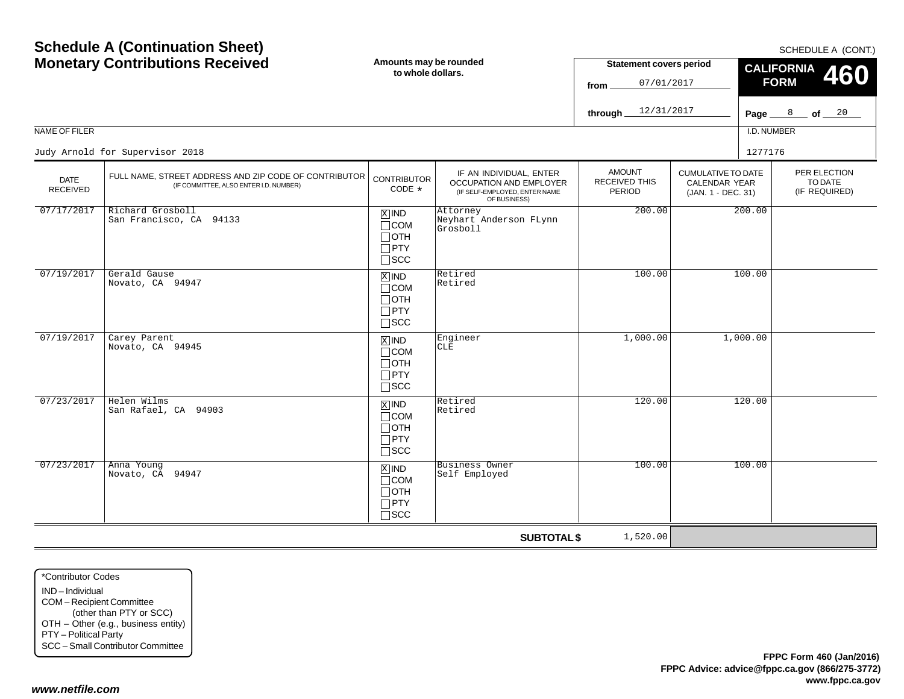|                                | <b>Monetary Contributions Received</b>                                                          | Amounts may be rounded<br>to whole dollars.                                       |                                                                                                     | <b>Statement covers period</b><br>07/01/2017<br>from |                                                                  | <b>CALIFORNIA</b><br><b>FORM</b> | <b>JUILDULL A (UUIVI.)</b><br><b>460</b> |
|--------------------------------|-------------------------------------------------------------------------------------------------|-----------------------------------------------------------------------------------|-----------------------------------------------------------------------------------------------------|------------------------------------------------------|------------------------------------------------------------------|----------------------------------|------------------------------------------|
|                                |                                                                                                 |                                                                                   |                                                                                                     | 12/31/2017<br>through                                |                                                                  |                                  | Page $8$ of $20$                         |
| NAME OF FILER                  |                                                                                                 |                                                                                   |                                                                                                     |                                                      |                                                                  | I.D. NUMBER                      |                                          |
|                                | Judy Arnold for Supervisor 2018                                                                 |                                                                                   |                                                                                                     |                                                      |                                                                  | 1277176                          |                                          |
| <b>DATE</b><br><b>RECEIVED</b> | FULL NAME, STREET ADDRESS AND ZIP CODE OF CONTRIBUTOR<br>(IF COMMITTEE, ALSO ENTER I.D. NUMBER) | <b>CONTRIBUTOR</b><br>CODE *                                                      | IF AN INDIVIDUAL, ENTER<br>OCCUPATION AND EMPLOYER<br>(IF SELF-EMPLOYED, ENTER NAME<br>OF BUSINESS) | <b>AMOUNT</b><br><b>RECEIVED THIS</b><br>PERIOD      | <b>CUMULATIVE TO DATE</b><br>CALENDAR YEAR<br>(JAN. 1 - DEC. 31) |                                  | PER ELECTION<br>TO DATE<br>(IF REQUIRED) |
| 07/17/2017                     | Richard Grosboll<br>San Francisco, CA 94133                                                     | $\boxed{\text{X}}$ IND<br>$\Box$ COM<br>$\Box$ OTH<br>$\Box$ PTY<br>$\square$ SCC | Attorney<br>Neyhart Anderson FLynn<br>Grosboll                                                      | 200.00                                               |                                                                  | 200.00                           |                                          |
| 07/19/2017                     | Gerald Gause<br>Novato, CA 94947                                                                | $\boxed{\text{X}}$ IND<br>$\Box$ COM<br>$\Box$ OTH<br>$\Box$ PTY<br>$\square$ scc | Retired<br>Retired                                                                                  | 100.00                                               |                                                                  | 100.00                           |                                          |
| 07/19/2017                     | Carey Parent<br>Novato, CA 94945                                                                | $X$ IND<br>$\Box$ COM<br>$\Box$ OTH<br>$\Box$ PTY<br>$\square$ SCC                | Engineer<br>CLE                                                                                     | 1,000.00                                             |                                                                  | 1,000.00                         |                                          |
| 07/23/2017                     | Helen Wilms<br>San Rafael, CA 94903                                                             | $\boxed{\text{X}}$ IND<br>$\Box$ COM<br>$\Box$ OTH<br>$\Box$ PTY<br>$\square$ SCC | Retired<br>Retired                                                                                  | 120.00                                               |                                                                  | 120.00                           |                                          |
| 07/23/2017                     | Anna Young<br>Novato, CA 94947                                                                  | $X$ IND<br>$\Box$ COM<br>$\Box$ OTH<br>$\Box$ PTY<br>$\square$ SCC                | <b>Business Owner</b><br>Self Employed                                                              | 100.00                                               |                                                                  | 100.00                           |                                          |
|                                |                                                                                                 |                                                                                   | <b>SUBTOTAL \$</b>                                                                                  | 1,520.00                                             |                                                                  |                                  |                                          |

\*Contributor CodesIND – Individual COM – Recipient Committee (other than PTY or SCC) OTH – Other (e.g., business entity) PTY – Political Party SCC – Small Contributor Committee

**Schedule A (Continuation Sheet)**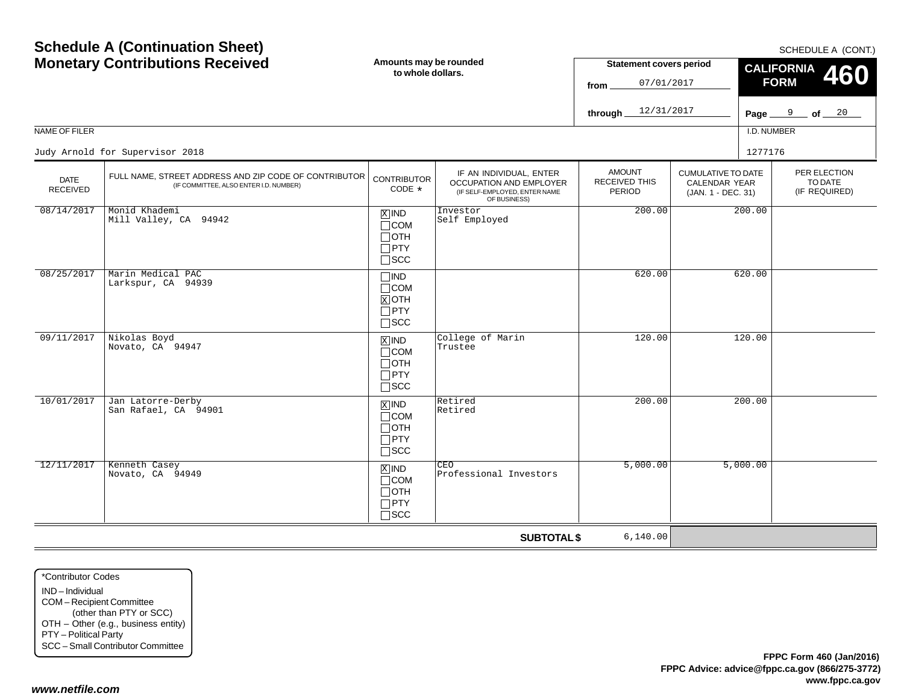| NAME OF FILER                  | <b>Schedule A (Continuation Sheet)</b><br><b>Monetary Contributions Received</b><br>Judy Arnold for Supervisor 2018 | Amounts may be rounded<br>to whole dollars.                                       |                                                                                                     | <b>Statement covers period</b><br>07/01/2017<br>from<br>12/31/2017<br>through. |                                                                         | SCHEDULE A (CONT.)<br><b>CALIFORNIA</b><br><b>460</b><br><b>FORM</b><br>Page $9$ of $20$<br>I.D. NUMBER<br>1277176 |                                          |
|--------------------------------|---------------------------------------------------------------------------------------------------------------------|-----------------------------------------------------------------------------------|-----------------------------------------------------------------------------------------------------|--------------------------------------------------------------------------------|-------------------------------------------------------------------------|--------------------------------------------------------------------------------------------------------------------|------------------------------------------|
| <b>DATE</b><br><b>RECEIVED</b> | FULL NAME, STREET ADDRESS AND ZIP CODE OF CONTRIBUTOR<br>(IF COMMITTEE, ALSO ENTER I.D. NUMBER)                     | <b>CONTRIBUTOR</b><br>CODE *                                                      | IF AN INDIVIDUAL, ENTER<br>OCCUPATION AND EMPLOYER<br>(IF SELF-EMPLOYED, ENTER NAME<br>OF BUSINESS) | <b>AMOUNT</b><br>RECEIVED THIS<br>PERIOD                                       | <b>CUMULATIVE TO DATE</b><br><b>CALENDAR YEAR</b><br>(JAN. 1 - DEC. 31) |                                                                                                                    | PER ELECTION<br>TO DATE<br>(IF REQUIRED) |
| 08/14/2017                     | Monid Khademi<br>Mill Valley, CA 94942                                                                              | $X$ IND<br>$\Box$ COM<br>$\Box$ OTH<br>$\Box$ PTY<br>$\square$ SCC                | Investor<br>Self Employed                                                                           | 200.00                                                                         |                                                                         | 200.00                                                                                                             |                                          |
| 08/25/2017                     | Marin Medical PAC<br>Larkspur, CA 94939                                                                             | $\Box$ IND<br>$\Box$ COM<br>$X$ OTH<br>$\Box$ PTY<br>$\square$ scc                |                                                                                                     | 620.00                                                                         | 620.00                                                                  |                                                                                                                    |                                          |
| 09/11/2017                     | Nikolas Boyd<br>Novato, CA 94947                                                                                    | $\overline{X}$ IND<br>$\Box$ COM<br>$\Box$ OTH<br>$\Box$ PTY<br>$\Box$ scc        | College of Marin<br>Trustee                                                                         | 120.00                                                                         |                                                                         | 120.00                                                                                                             |                                          |
| 10/01/2017                     | Jan Latorre-Derby<br>San Rafael, CA 94901                                                                           | $\boxed{\text{X}}$ IND<br>$\Box$ COM<br>$\Box$ OTH<br>$\Box$ PTY<br>$\square$ scc | Retired<br>Retired                                                                                  | 200.00                                                                         |                                                                         | 200.00                                                                                                             |                                          |
| 12/11/2017                     | Kenneth Casey<br>Novato, CA 94949                                                                                   | $X$ IND<br>$\Box$ COM<br>$\Box$ OTH<br>$\Box$ PTY<br>$\Box$ SCC                   | CEO<br>Professional Investors                                                                       | 5,000.00                                                                       |                                                                         | 5,000.00                                                                                                           |                                          |
|                                |                                                                                                                     |                                                                                   | <b>SUBTOTAL \$</b>                                                                                  | 6,140.00                                                                       |                                                                         |                                                                                                                    |                                          |

\*Contributor CodesIND – Individual COM – Recipient Committee (other than PTY or SCC) OTH – Other (e.g., business entity) PTY – Political Party SCC – Small Contributor Committee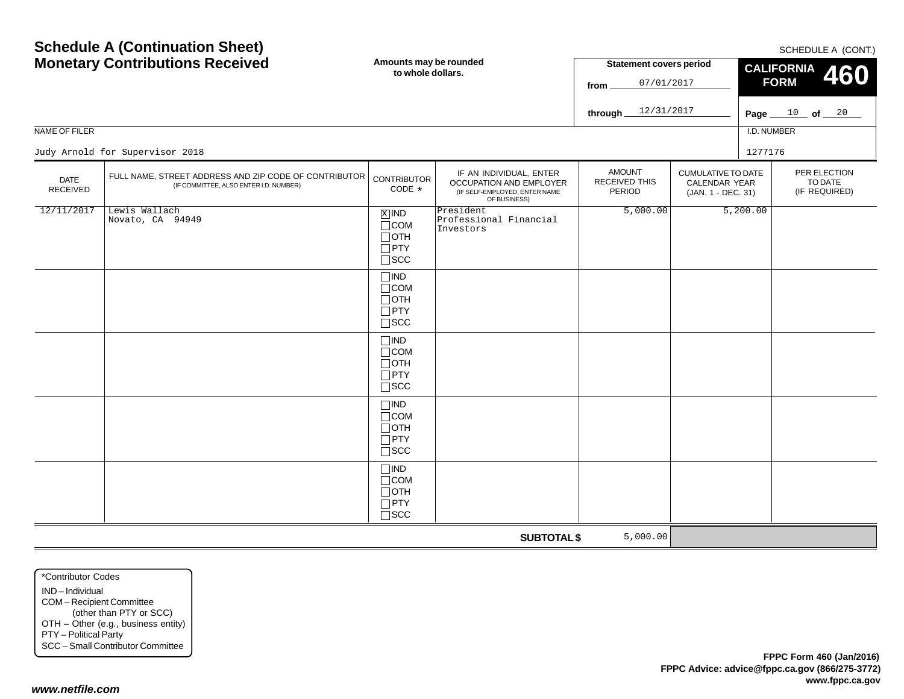| <b>Schedule A (Continuation Sheet)</b><br><b>Monetary Contributions Received</b> |                                                                                                 | Amounts may be rounded<br>to whole dollars.                                                                                         |                                                  | <b>Statement covers period</b><br>07/01/2017<br>from<br>12/31/2017<br>through                                              |  | SCHEDULE A (CONT.)<br><b>CALIFORNIA</b><br>460<br><b>FORM</b><br>Page $10$ of $20$ |                                          |  |
|----------------------------------------------------------------------------------|-------------------------------------------------------------------------------------------------|-------------------------------------------------------------------------------------------------------------------------------------|--------------------------------------------------|----------------------------------------------------------------------------------------------------------------------------|--|------------------------------------------------------------------------------------|------------------------------------------|--|
| NAME OF FILER                                                                    | Judy Arnold for Supervisor 2018                                                                 |                                                                                                                                     |                                                  |                                                                                                                            |  | I.D. NUMBER<br>1277176                                                             |                                          |  |
| <b>DATE</b><br><b>RECEIVED</b>                                                   | FULL NAME, STREET ADDRESS AND ZIP CODE OF CONTRIBUTOR<br>(IF COMMITTEE, ALSO ENTER I.D. NUMBER) | IF AN INDIVIDUAL, ENTER<br><b>CONTRIBUTOR</b><br>OCCUPATION AND EMPLOYER<br>CODE *<br>(IF SELF-EMPLOYED, ENTER NAME<br>OF BUSINESS) |                                                  | <b>AMOUNT</b><br><b>CUMULATIVE TO DATE</b><br><b>RECEIVED THIS</b><br><b>CALENDAR YEAR</b><br>PERIOD<br>(JAN. 1 - DEC. 31) |  |                                                                                    | PER ELECTION<br>TO DATE<br>(IF REQUIRED) |  |
| 12/11/2017                                                                       | Lewis Wallach<br>Novato, CA 94949                                                               | $\boxed{\text{X}}$ IND<br>$\Box$ COM<br>$\Box$ oth<br>$\Box$ PTY<br>$\Box$<br><br>SCC                                               | President<br>Professional Financial<br>Investors | 5,000.00                                                                                                                   |  | 5,200.00                                                                           |                                          |  |
|                                                                                  |                                                                                                 | $\Box$ IND<br>$\Box$ COM<br>$\Box$ OTH<br>$\Box$ PTY<br>$\square$ scc                                                               |                                                  |                                                                                                                            |  |                                                                                    |                                          |  |
|                                                                                  |                                                                                                 | $\Box$ IND<br>$\Box$ COM<br>$\Box$ OTH<br>$\Box$ PTY<br>$\square$ SCC                                                               |                                                  |                                                                                                                            |  |                                                                                    |                                          |  |
|                                                                                  |                                                                                                 | $\Box$ IND<br>$\Box$ COM<br>$\Box$ OTH<br>$\Box$ PTY<br>$\square$ SCC                                                               |                                                  |                                                                                                                            |  |                                                                                    |                                          |  |
|                                                                                  |                                                                                                 | $\Box$ IND<br>$\Box$ COM<br>$\Box$ OTH<br>$\Box$ PTY<br>$\Box$ scc                                                                  |                                                  |                                                                                                                            |  |                                                                                    |                                          |  |
|                                                                                  |                                                                                                 |                                                                                                                                     | <b>SUBTOTAL \$</b>                               | 5,000.00                                                                                                                   |  |                                                                                    |                                          |  |

\*Contributor CodesIND – Individual COM – Recipient Committee (other than PTY or SCC) OTH – Other (e.g., business entity) PTY – Political Party SCC – Small Contributor Committee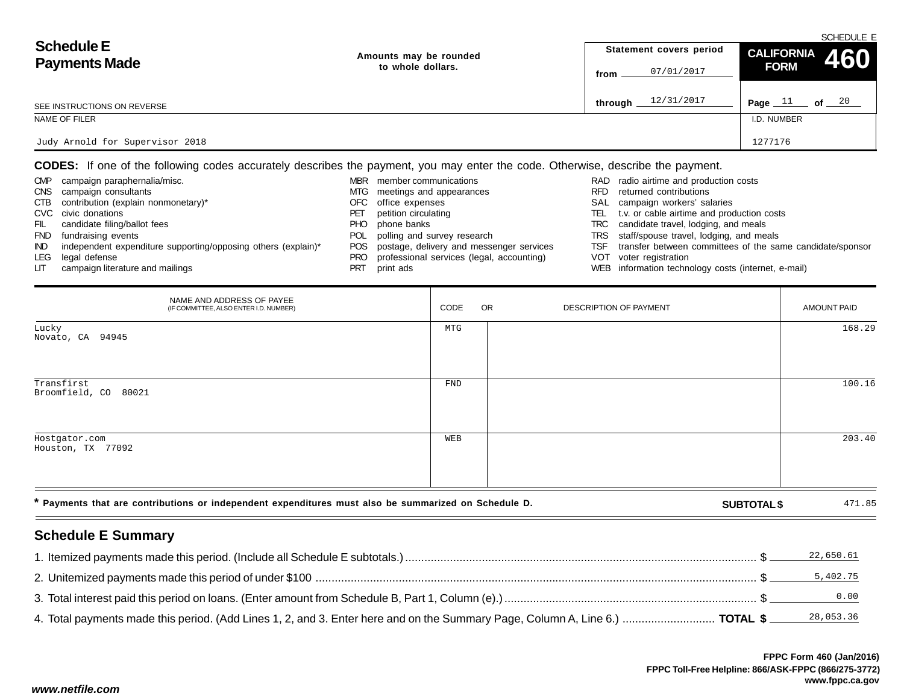|                                                                                          |                    |                         | SCHEDULE E                 |
|------------------------------------------------------------------------------------------|--------------------|-------------------------|----------------------------|
| <b>Schedule E</b><br>Amounts may be rounded<br><b>Payments Made</b><br>to whole dollars. |                    | Statement covers period | CALIFORNIA 460             |
|                                                                                          | 07/01/2017<br>from | <b>FORM</b>             |                            |
| SEE INSTRUCTIONS ON REVERSE                                                              |                    | 12/31/2017<br>through   | of $\_\,\_20$<br>Page $11$ |
| NAME OF FILER                                                                            |                    |                         | I.D. NUMBER                |
| Judy Arnold for Supervisor 2018                                                          |                    |                         | 1277176                    |

**CODES:** If one of the following codes accurately describes the payment, you may enter the code. Otherwise, describe the payment.

| <b>CMP</b> | campaign paraphernalia/misc.                                  | MBR. | member communications                         |       | RAD radio airtime and production costs                    |
|------------|---------------------------------------------------------------|------|-----------------------------------------------|-------|-----------------------------------------------------------|
| <b>CNS</b> | campaign consultants                                          |      | MTG meetings and appearances                  | RFD.  | returned contributions                                    |
| CTB        | contribution (explain nonmonetary)*                           |      | OFC office expenses                           |       | SAL campaign workers' salaries                            |
|            | CVC civic donations                                           | PEI  | petition circulating                          | TEL I | t.v. or cable airtime and production costs                |
| FIL        | candidate filing/ballot fees                                  | PHO. | phone banks                                   |       | TRC candidate travel, lodging, and meals                  |
| <b>FND</b> | fundraising events                                            |      | POL polling and survey research               |       | TRS staff/spouse travel, lodging, and meals               |
| IND.       | independent expenditure supporting/opposing others (explain)* |      | POS postage, delivery and messenger services  | TSF   | transfer between committees of the same candidate/sponsor |
| LEG        | legal defense                                                 |      | PRO professional services (legal, accounting) |       | VOT voter registration                                    |
| LIT.       | campaign literature and mailings                              |      | print ads                                     |       | WEB information technology costs (internet, e-mail)       |

| NAME AND ADDRESS OF PAYEE<br>(IF COMMITTEE, ALSO ENTER I.D. NUMBER)                                  | CODE | <b>OR</b> | DESCRIPTION OF PAYMENT |                    | <b>AMOUNT PAID</b> |
|------------------------------------------------------------------------------------------------------|------|-----------|------------------------|--------------------|--------------------|
| Lucky<br>Novato, CA 94945                                                                            | MTG  |           |                        |                    | 168.29             |
| Transfirst<br>Broomfield, CO 80021                                                                   | FND  |           |                        |                    | 100.16             |
| Hostgator.com<br>Houston, TX 77092                                                                   | WEB  |           |                        |                    | 203.40             |
| * Payments that are contributions or independent expenditures must also be summarized on Schedule D. |      |           |                        | <b>SUBTOTAL \$</b> | 471.85             |

# **Schedule E Summary**

| l. Itemized payments made this period. (Include all Schedule E subtotals.) ……………………………………………………………………………………………\$             | 22,650.61 |
|------------------------------------------------------------------------------------------------------------------------------|-----------|
|                                                                                                                              | 5,402.75  |
|                                                                                                                              | 0.00      |
| 4. Total payments made this period. (Add Lines 1, 2, and 3. Enter here and on the Summary Page, Column A, Line 6.)  TOTAL \$ | 28,053.36 |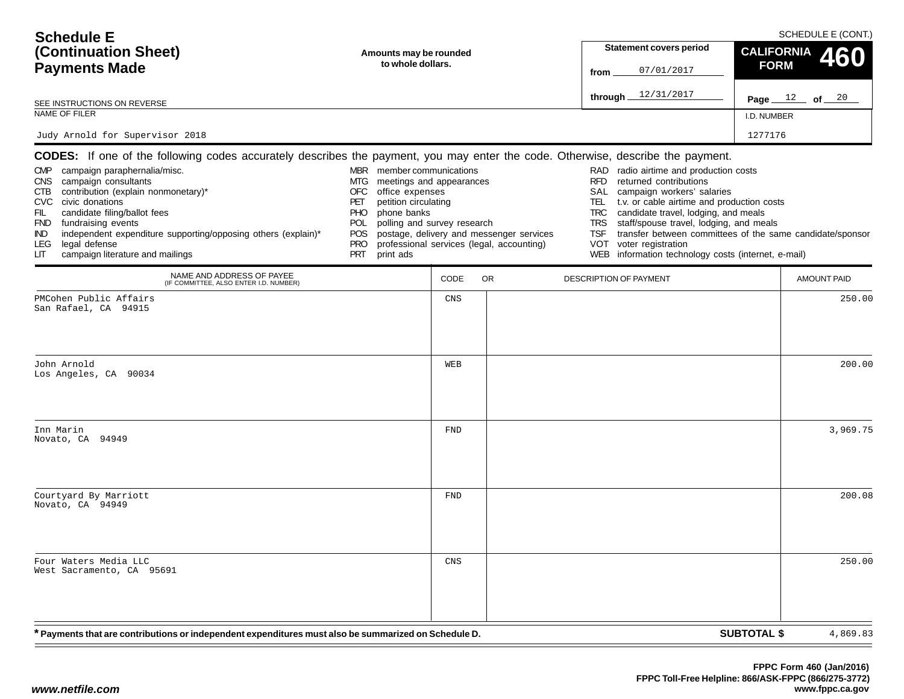| <b>Schedule E</b>                                                                                                                                                                                                                                                                                                                                                                                                                                                                             |                                                                                                                                                                                                                                                         |                                             |                                                                                       |                                                                                   | SCHEDULE E (CONT.)                                                                                                                                                                                                                                                                                                                                                    |                    |                                        |  |
|-----------------------------------------------------------------------------------------------------------------------------------------------------------------------------------------------------------------------------------------------------------------------------------------------------------------------------------------------------------------------------------------------------------------------------------------------------------------------------------------------|---------------------------------------------------------------------------------------------------------------------------------------------------------------------------------------------------------------------------------------------------------|---------------------------------------------|---------------------------------------------------------------------------------------|-----------------------------------------------------------------------------------|-----------------------------------------------------------------------------------------------------------------------------------------------------------------------------------------------------------------------------------------------------------------------------------------------------------------------------------------------------------------------|--------------------|----------------------------------------|--|
| (Continuation Sheet)                                                                                                                                                                                                                                                                                                                                                                                                                                                                          |                                                                                                                                                                                                                                                         | Amounts may be rounded<br>to whole dollars. |                                                                                       |                                                                                   | <b>Statement covers period</b>                                                                                                                                                                                                                                                                                                                                        |                    | <b>CALIFORNIA</b><br>60<br><b>FORM</b> |  |
| <b>Payments Made</b>                                                                                                                                                                                                                                                                                                                                                                                                                                                                          |                                                                                                                                                                                                                                                         |                                             |                                                                                       | from                                                                              | 07/01/2017                                                                                                                                                                                                                                                                                                                                                            |                    |                                        |  |
| SEE INSTRUCTIONS ON REVERSE                                                                                                                                                                                                                                                                                                                                                                                                                                                                   |                                                                                                                                                                                                                                                         |                                             |                                                                                       | through.                                                                          | 12/31/2017                                                                                                                                                                                                                                                                                                                                                            |                    | Page $12$ of $20$                      |  |
| NAME OF FILER                                                                                                                                                                                                                                                                                                                                                                                                                                                                                 |                                                                                                                                                                                                                                                         |                                             |                                                                                       |                                                                                   |                                                                                                                                                                                                                                                                                                                                                                       | I.D. NUMBER        |                                        |  |
| Judy Arnold for Supervisor 2018                                                                                                                                                                                                                                                                                                                                                                                                                                                               |                                                                                                                                                                                                                                                         |                                             |                                                                                       |                                                                                   |                                                                                                                                                                                                                                                                                                                                                                       | 1277176            |                                        |  |
| <b>CODES:</b> If one of the following codes accurately describes the payment, you may enter the code. Otherwise, describe the payment.<br>CMP campaign paraphernalia/misc.<br>campaign consultants<br>CNS.<br>contribution (explain nonmonetary)*<br>CTB<br>CVC civic donations<br>FIL<br>candidate filing/ballot fees<br>FND fundraising events<br>independent expenditure supporting/opposing others (explain)*<br>IND.<br>legal defense<br>LEG.<br>campaign literature and mailings<br>LІТ | MBR member communications<br>meetings and appearances<br>MTG.<br><b>OFC</b><br>office expenses<br>PET<br>petition circulating<br>phone banks<br><b>PHO</b><br>polling and survey research<br><b>POL</b><br>POS<br><b>PRO</b><br><b>PRT</b><br>print ads |                                             | postage, delivery and messenger services<br>professional services (legal, accounting) | RAD<br><b>RFD</b><br>SAL<br>TEL.<br><b>TRC</b><br><b>TRS</b><br><b>TSF</b><br>VOT | radio airtime and production costs<br>returned contributions<br>campaign workers' salaries<br>t.v. or cable airtime and production costs<br>candidate travel, lodging, and meals<br>staff/spouse travel, lodging, and meals<br>transfer between committees of the same candidate/sponsor<br>voter registration<br>WEB information technology costs (internet, e-mail) |                    |                                        |  |
| NAME AND ADDRESS OF PAYEE<br>(IF COMMITTEE, ALSO ENTER I.D. NUMBER)                                                                                                                                                                                                                                                                                                                                                                                                                           |                                                                                                                                                                                                                                                         | CODE                                        | <b>OR</b>                                                                             | DESCRIPTION OF PAYMENT                                                            |                                                                                                                                                                                                                                                                                                                                                                       |                    | <b>AMOUNT PAID</b>                     |  |
| PMCohen Public Affairs<br>San Rafael, CA 94915                                                                                                                                                                                                                                                                                                                                                                                                                                                |                                                                                                                                                                                                                                                         | CNS                                         |                                                                                       |                                                                                   |                                                                                                                                                                                                                                                                                                                                                                       |                    | 250.00                                 |  |
| John Arnold<br>Los Angeles, CA 90034                                                                                                                                                                                                                                                                                                                                                                                                                                                          |                                                                                                                                                                                                                                                         | WEB                                         |                                                                                       |                                                                                   |                                                                                                                                                                                                                                                                                                                                                                       |                    | 200.00                                 |  |
| Inn Marin<br>Novato, CA 94949                                                                                                                                                                                                                                                                                                                                                                                                                                                                 |                                                                                                                                                                                                                                                         | <b>FND</b>                                  |                                                                                       |                                                                                   |                                                                                                                                                                                                                                                                                                                                                                       |                    | 3,969.75                               |  |
| Courtyard By Marriott<br>Novato, CA 94949                                                                                                                                                                                                                                                                                                                                                                                                                                                     |                                                                                                                                                                                                                                                         | <b>FND</b>                                  |                                                                                       |                                                                                   |                                                                                                                                                                                                                                                                                                                                                                       |                    | 200.08                                 |  |
| Four Waters Media LLC<br>West Sacramento, CA 95691                                                                                                                                                                                                                                                                                                                                                                                                                                            |                                                                                                                                                                                                                                                         | CNS                                         |                                                                                       |                                                                                   |                                                                                                                                                                                                                                                                                                                                                                       |                    | 250.00                                 |  |
| * Payments that are contributions or independent expenditures must also be summarized on Schedule D.                                                                                                                                                                                                                                                                                                                                                                                          |                                                                                                                                                                                                                                                         |                                             |                                                                                       |                                                                                   |                                                                                                                                                                                                                                                                                                                                                                       | <b>SUBTOTAL \$</b> | 4,869.83                               |  |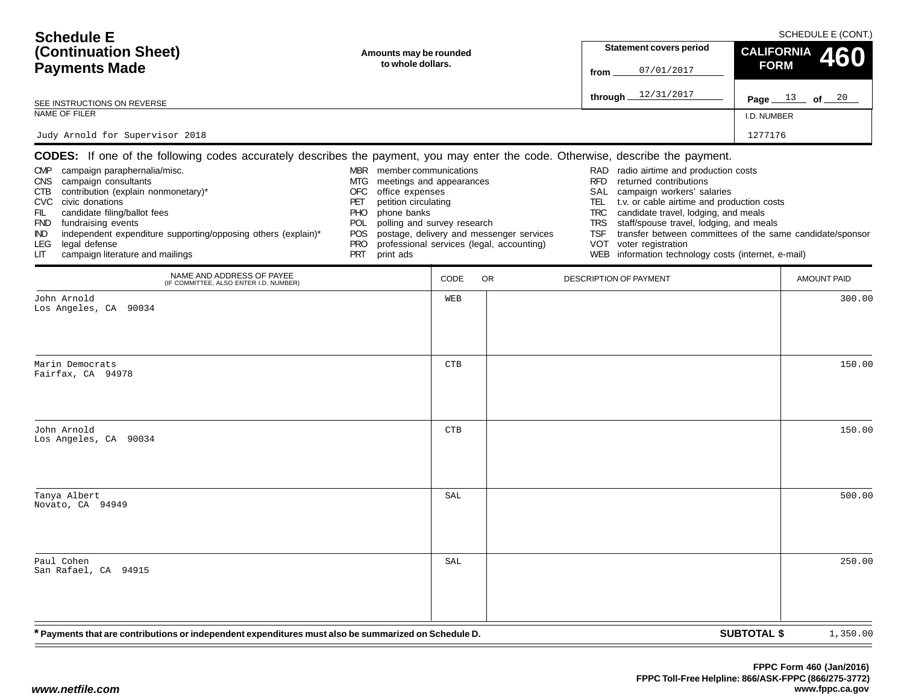| <b>Schedule E</b><br>(Continuation Sheet)<br><b>Payments Made</b>                                                                                                                                                                                                                                                                                                                                                                                                                                          | Amounts may be rounded<br>to whole dollars.                                                                                                                                                                                                      |            |                                                                                       | <b>Statement covers period</b><br>07/01/2017<br>from                                                                                                                                                                                                                                                                                                                                         | SCHEDULE E (CONT.)<br><b>CALIFORNIA</b><br>460<br><b>FORM</b> |
|------------------------------------------------------------------------------------------------------------------------------------------------------------------------------------------------------------------------------------------------------------------------------------------------------------------------------------------------------------------------------------------------------------------------------------------------------------------------------------------------------------|--------------------------------------------------------------------------------------------------------------------------------------------------------------------------------------------------------------------------------------------------|------------|---------------------------------------------------------------------------------------|----------------------------------------------------------------------------------------------------------------------------------------------------------------------------------------------------------------------------------------------------------------------------------------------------------------------------------------------------------------------------------------------|---------------------------------------------------------------|
| SEE INSTRUCTIONS ON REVERSE                                                                                                                                                                                                                                                                                                                                                                                                                                                                                |                                                                                                                                                                                                                                                  |            |                                                                                       | through $12/31/2017$                                                                                                                                                                                                                                                                                                                                                                         | Page $13$ of $20$                                             |
| NAME OF FILER                                                                                                                                                                                                                                                                                                                                                                                                                                                                                              |                                                                                                                                                                                                                                                  |            |                                                                                       |                                                                                                                                                                                                                                                                                                                                                                                              | I.D. NUMBER                                                   |
| Judy Arnold for Supervisor 2018                                                                                                                                                                                                                                                                                                                                                                                                                                                                            |                                                                                                                                                                                                                                                  |            |                                                                                       |                                                                                                                                                                                                                                                                                                                                                                                              | 1277176                                                       |
| <b>CODES:</b> If one of the following codes accurately describes the payment, you may enter the code. Otherwise, describe the payment.<br>campaign paraphernalia/misc.<br><b>CMP</b><br>CNS campaign consultants<br>contribution (explain nonmonetary)*<br>CTB<br>CVC civic donations<br>candidate filing/ballot fees<br>FIL.<br>FND fundraising events<br>independent expenditure supporting/opposing others (explain)*<br>IND.<br>legal defense<br><b>LEG</b><br>campaign literature and mailings<br>LIТ | MBR member communications<br>meetings and appearances<br>MTG<br>office expenses<br>OFC<br>petition circulating<br>PET<br>phone banks<br><b>PHO</b><br>polling and survey research<br><b>POL</b><br>POS.<br><b>PRO</b><br><b>PRT</b><br>print ads |            | postage, delivery and messenger services<br>professional services (legal, accounting) | radio airtime and production costs<br>RAD<br>returned contributions<br><b>RFD</b><br>SAL<br>campaign workers' salaries<br>t.v. or cable airtime and production costs<br>TEL<br>candidate travel, lodging, and meals<br><b>TRC</b><br>staff/spouse travel, lodging, and meals<br><b>TRS</b><br><b>TSF</b><br>voter registration<br>VOT<br>WEB information technology costs (internet, e-mail) | transfer between committees of the same candidate/sponsor     |
| NAME AND ADDRESS OF PAYEE<br>(IF COMMITTEE, ALSO ENTER I.D. NUMBER)                                                                                                                                                                                                                                                                                                                                                                                                                                        |                                                                                                                                                                                                                                                  | CODE       | <b>OR</b>                                                                             | DESCRIPTION OF PAYMENT                                                                                                                                                                                                                                                                                                                                                                       | <b>AMOUNT PAID</b>                                            |
| John Arnold<br>Los Angeles, CA 90034                                                                                                                                                                                                                                                                                                                                                                                                                                                                       |                                                                                                                                                                                                                                                  | WEB        |                                                                                       |                                                                                                                                                                                                                                                                                                                                                                                              | 300.00                                                        |
| Marin Democrats<br>Fairfax, CA 94978                                                                                                                                                                                                                                                                                                                                                                                                                                                                       |                                                                                                                                                                                                                                                  | <b>CTB</b> |                                                                                       |                                                                                                                                                                                                                                                                                                                                                                                              | 150.00                                                        |
| John Arnold<br>Los Angeles, CA 90034                                                                                                                                                                                                                                                                                                                                                                                                                                                                       |                                                                                                                                                                                                                                                  | <b>CTB</b> |                                                                                       |                                                                                                                                                                                                                                                                                                                                                                                              | 150.00                                                        |
| Tanya Albert<br>Novato, CA 94949                                                                                                                                                                                                                                                                                                                                                                                                                                                                           |                                                                                                                                                                                                                                                  | SAL        |                                                                                       |                                                                                                                                                                                                                                                                                                                                                                                              | 500.00                                                        |
| Paul Cohen<br>San Rafael, CA 94915                                                                                                                                                                                                                                                                                                                                                                                                                                                                         |                                                                                                                                                                                                                                                  | SAL        |                                                                                       |                                                                                                                                                                                                                                                                                                                                                                                              | 250.00                                                        |
| * Payments that are contributions or independent expenditures must also be summarized on Schedule D.                                                                                                                                                                                                                                                                                                                                                                                                       |                                                                                                                                                                                                                                                  |            |                                                                                       |                                                                                                                                                                                                                                                                                                                                                                                              | <b>SUBTOTAL \$</b><br>1,350.00                                |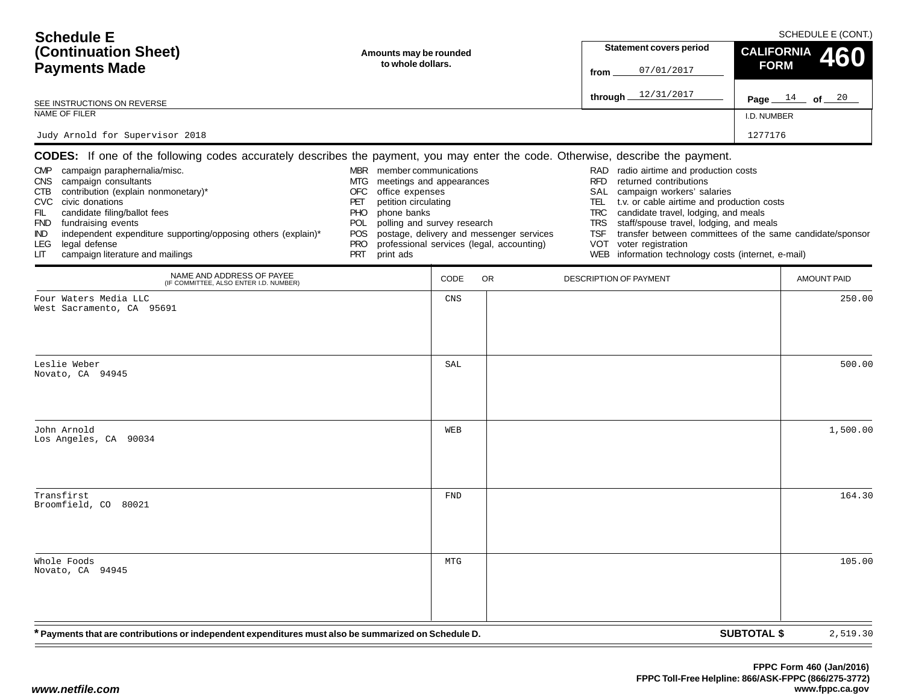| <b>Schedule E</b>                                                                                                                                                                                                                                                                                                                                                                                                                                                                             |                                                                                                                                                                                                                             |                                             |                                                                                       |                                                                                   | SCHEDULE E (CONT.)                                                                                                                                                                                                                                                                                                                                                    |                    |                                        |  |
|-----------------------------------------------------------------------------------------------------------------------------------------------------------------------------------------------------------------------------------------------------------------------------------------------------------------------------------------------------------------------------------------------------------------------------------------------------------------------------------------------|-----------------------------------------------------------------------------------------------------------------------------------------------------------------------------------------------------------------------------|---------------------------------------------|---------------------------------------------------------------------------------------|-----------------------------------------------------------------------------------|-----------------------------------------------------------------------------------------------------------------------------------------------------------------------------------------------------------------------------------------------------------------------------------------------------------------------------------------------------------------------|--------------------|----------------------------------------|--|
| (Continuation Sheet)                                                                                                                                                                                                                                                                                                                                                                                                                                                                          |                                                                                                                                                                                                                             | Amounts may be rounded<br>to whole dollars. |                                                                                       |                                                                                   | <b>Statement covers period</b>                                                                                                                                                                                                                                                                                                                                        |                    | <b>CALIFORNIA</b><br>60<br><b>FORM</b> |  |
| <b>Payments Made</b>                                                                                                                                                                                                                                                                                                                                                                                                                                                                          |                                                                                                                                                                                                                             |                                             |                                                                                       | from                                                                              | 07/01/2017                                                                                                                                                                                                                                                                                                                                                            |                    |                                        |  |
| SEE INSTRUCTIONS ON REVERSE                                                                                                                                                                                                                                                                                                                                                                                                                                                                   |                                                                                                                                                                                                                             |                                             |                                                                                       | through.                                                                          | 12/31/2017                                                                                                                                                                                                                                                                                                                                                            |                    | Page $14$ of $20$                      |  |
| NAME OF FILER                                                                                                                                                                                                                                                                                                                                                                                                                                                                                 |                                                                                                                                                                                                                             |                                             |                                                                                       |                                                                                   |                                                                                                                                                                                                                                                                                                                                                                       | I.D. NUMBER        |                                        |  |
| Judy Arnold for Supervisor 2018                                                                                                                                                                                                                                                                                                                                                                                                                                                               |                                                                                                                                                                                                                             |                                             |                                                                                       |                                                                                   |                                                                                                                                                                                                                                                                                                                                                                       | 1277176            |                                        |  |
| <b>CODES:</b> If one of the following codes accurately describes the payment, you may enter the code. Otherwise, describe the payment.<br>CMP campaign paraphernalia/misc.<br>campaign consultants<br>CNS.<br>contribution (explain nonmonetary)*<br>CTB<br>CVC civic donations<br>FIL<br>candidate filing/ballot fees<br>FND fundraising events<br>independent expenditure supporting/opposing others (explain)*<br>IND.<br>legal defense<br>LEG.<br>campaign literature and mailings<br>LIТ | MBR member communications<br>MTG.<br><b>OFC</b><br>office expenses<br>PET<br>petition circulating<br>phone banks<br><b>PHO</b><br>polling and survey research<br><b>POL</b><br>POS<br><b>PRO</b><br><b>PRT</b><br>print ads | meetings and appearances                    | postage, delivery and messenger services<br>professional services (legal, accounting) | RAD<br><b>RFD</b><br>SAL<br>TEL.<br><b>TRC</b><br><b>TRS</b><br><b>TSF</b><br>VOT | radio airtime and production costs<br>returned contributions<br>campaign workers' salaries<br>t.v. or cable airtime and production costs<br>candidate travel, lodging, and meals<br>staff/spouse travel, lodging, and meals<br>transfer between committees of the same candidate/sponsor<br>voter registration<br>WEB information technology costs (internet, e-mail) |                    |                                        |  |
| NAME AND ADDRESS OF PAYEE<br>(IF COMMITTEE, ALSO ENTER I.D. NUMBER)                                                                                                                                                                                                                                                                                                                                                                                                                           |                                                                                                                                                                                                                             | CODE                                        | <b>OR</b>                                                                             |                                                                                   | DESCRIPTION OF PAYMENT                                                                                                                                                                                                                                                                                                                                                |                    | <b>AMOUNT PAID</b>                     |  |
| Four Waters Media LLC<br>West Sacramento, CA 95691                                                                                                                                                                                                                                                                                                                                                                                                                                            |                                                                                                                                                                                                                             | CNS                                         |                                                                                       |                                                                                   |                                                                                                                                                                                                                                                                                                                                                                       |                    | 250.00                                 |  |
| Leslie Weber<br>Novato, CA 94945                                                                                                                                                                                                                                                                                                                                                                                                                                                              |                                                                                                                                                                                                                             | SAL                                         |                                                                                       |                                                                                   |                                                                                                                                                                                                                                                                                                                                                                       |                    | 500.00                                 |  |
| John Arnold<br>Los Angeles, CA 90034                                                                                                                                                                                                                                                                                                                                                                                                                                                          |                                                                                                                                                                                                                             | WEB                                         |                                                                                       |                                                                                   |                                                                                                                                                                                                                                                                                                                                                                       |                    | 1,500.00                               |  |
| Transfirst<br>Broomfield, CO 80021                                                                                                                                                                                                                                                                                                                                                                                                                                                            |                                                                                                                                                                                                                             | <b>FND</b>                                  |                                                                                       |                                                                                   |                                                                                                                                                                                                                                                                                                                                                                       |                    | 164.30                                 |  |
| Whole Foods<br>Novato, CA 94945                                                                                                                                                                                                                                                                                                                                                                                                                                                               |                                                                                                                                                                                                                             | MTG                                         |                                                                                       |                                                                                   |                                                                                                                                                                                                                                                                                                                                                                       |                    | 105.00                                 |  |
| * Payments that are contributions or independent expenditures must also be summarized on Schedule D.                                                                                                                                                                                                                                                                                                                                                                                          |                                                                                                                                                                                                                             |                                             |                                                                                       |                                                                                   |                                                                                                                                                                                                                                                                                                                                                                       | <b>SUBTOTAL \$</b> | 2,519.30                               |  |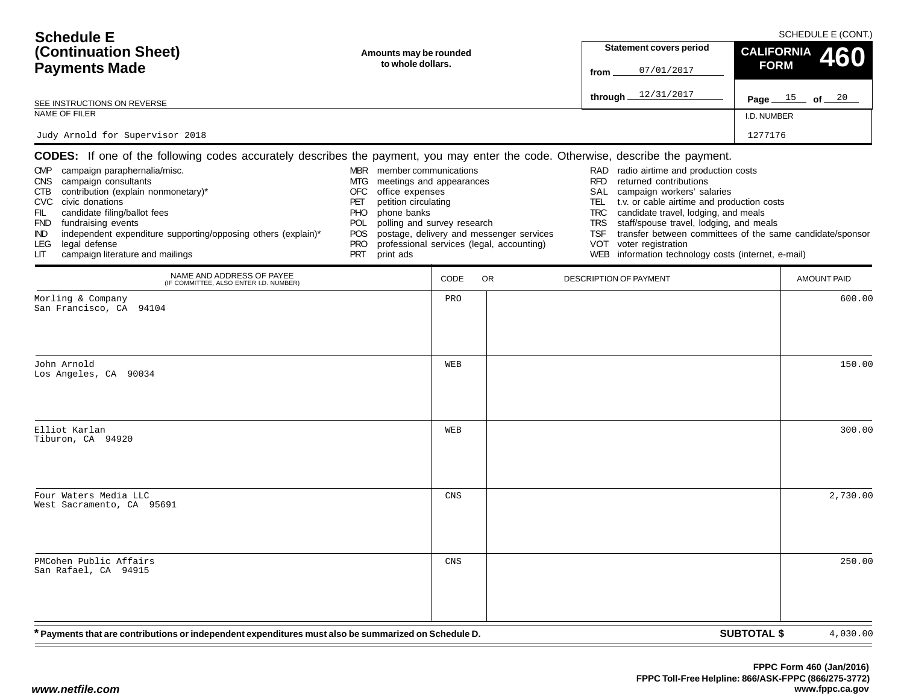| <b>Schedule E</b>                                                                                                                                                                                                                                                                                                                                                                                                                                                                                   |                                                                                                                                                                                              |                                                         |                                                                                       |                                                                                   | SCHEDULE E (CONT.)                                                                                                                                                                                                                                                                                                                                                    |                                        |                    |  |
|-----------------------------------------------------------------------------------------------------------------------------------------------------------------------------------------------------------------------------------------------------------------------------------------------------------------------------------------------------------------------------------------------------------------------------------------------------------------------------------------------------|----------------------------------------------------------------------------------------------------------------------------------------------------------------------------------------------|---------------------------------------------------------|---------------------------------------------------------------------------------------|-----------------------------------------------------------------------------------|-----------------------------------------------------------------------------------------------------------------------------------------------------------------------------------------------------------------------------------------------------------------------------------------------------------------------------------------------------------------------|----------------------------------------|--------------------|--|
| (Continuation Sheet)                                                                                                                                                                                                                                                                                                                                                                                                                                                                                | Amounts may be rounded<br>to whole dollars.                                                                                                                                                  |                                                         |                                                                                       |                                                                                   | <b>Statement covers period</b>                                                                                                                                                                                                                                                                                                                                        | <b>CALIFORNIA</b><br>60<br><b>FORM</b> |                    |  |
| <b>Payments Made</b>                                                                                                                                                                                                                                                                                                                                                                                                                                                                                |                                                                                                                                                                                              |                                                         |                                                                                       | from                                                                              | 07/01/2017                                                                                                                                                                                                                                                                                                                                                            |                                        |                    |  |
| SEE INSTRUCTIONS ON REVERSE                                                                                                                                                                                                                                                                                                                                                                                                                                                                         |                                                                                                                                                                                              |                                                         |                                                                                       | through.                                                                          | 12/31/2017                                                                                                                                                                                                                                                                                                                                                            |                                        | Page $15$ of $20$  |  |
| NAME OF FILER                                                                                                                                                                                                                                                                                                                                                                                                                                                                                       |                                                                                                                                                                                              |                                                         |                                                                                       |                                                                                   |                                                                                                                                                                                                                                                                                                                                                                       | I.D. NUMBER                            |                    |  |
| Judy Arnold for Supervisor 2018                                                                                                                                                                                                                                                                                                                                                                                                                                                                     |                                                                                                                                                                                              |                                                         |                                                                                       |                                                                                   |                                                                                                                                                                                                                                                                                                                                                                       | 1277176                                |                    |  |
| <b>CODES:</b> If one of the following codes accurately describes the payment, you may enter the code. Otherwise, describe the payment.<br>CMP campaign paraphernalia/misc.<br>campaign consultants<br><b>CNS</b><br>contribution (explain nonmonetary)*<br>CTB<br>CVC civic donations<br>FIL<br>candidate filing/ballot fees<br>FND fundraising events<br>independent expenditure supporting/opposing others (explain)*<br>IND.<br>legal defense<br>LEG.<br>campaign literature and mailings<br>LІТ | MBR member communications<br>MTG.<br><b>OFC</b><br>office expenses<br>PET<br>petition circulating<br>phone banks<br><b>PHO</b><br><b>POL</b><br>POS<br><b>PRO</b><br><b>PRT</b><br>print ads | meetings and appearances<br>polling and survey research | postage, delivery and messenger services<br>professional services (legal, accounting) | RAD<br><b>RFD</b><br>SAL<br>TEL.<br><b>TRC</b><br><b>TRS</b><br><b>TSF</b><br>VOT | radio airtime and production costs<br>returned contributions<br>campaign workers' salaries<br>t.v. or cable airtime and production costs<br>candidate travel, lodging, and meals<br>staff/spouse travel, lodging, and meals<br>transfer between committees of the same candidate/sponsor<br>voter registration<br>WEB information technology costs (internet, e-mail) |                                        |                    |  |
| NAME AND ADDRESS OF PAYEE<br>(IF COMMITTEE, ALSO ENTER I.D. NUMBER)                                                                                                                                                                                                                                                                                                                                                                                                                                 |                                                                                                                                                                                              | CODE                                                    | <b>OR</b>                                                                             |                                                                                   | DESCRIPTION OF PAYMENT                                                                                                                                                                                                                                                                                                                                                |                                        | <b>AMOUNT PAID</b> |  |
| Morling & Company<br>San Francisco, CA 94104                                                                                                                                                                                                                                                                                                                                                                                                                                                        |                                                                                                                                                                                              | PRO                                                     |                                                                                       |                                                                                   |                                                                                                                                                                                                                                                                                                                                                                       |                                        | 600.00             |  |
| John Arnold<br>Los Angeles, CA 90034                                                                                                                                                                                                                                                                                                                                                                                                                                                                |                                                                                                                                                                                              | WEB                                                     |                                                                                       |                                                                                   |                                                                                                                                                                                                                                                                                                                                                                       |                                        | 150.00             |  |
| Elliot Karlan<br>Tiburon, CA 94920                                                                                                                                                                                                                                                                                                                                                                                                                                                                  |                                                                                                                                                                                              | WEB                                                     |                                                                                       |                                                                                   |                                                                                                                                                                                                                                                                                                                                                                       |                                        | 300.00             |  |
| Four Waters Media LLC<br>West Sacramento, CA 95691                                                                                                                                                                                                                                                                                                                                                                                                                                                  |                                                                                                                                                                                              | CNS                                                     |                                                                                       |                                                                                   |                                                                                                                                                                                                                                                                                                                                                                       |                                        | 2,730.00           |  |
| PMCohen Public Affairs<br>San Rafael, CA 94915                                                                                                                                                                                                                                                                                                                                                                                                                                                      |                                                                                                                                                                                              | CNS                                                     |                                                                                       |                                                                                   |                                                                                                                                                                                                                                                                                                                                                                       |                                        | 250.00             |  |
| * Payments that are contributions or independent expenditures must also be summarized on Schedule D.                                                                                                                                                                                                                                                                                                                                                                                                |                                                                                                                                                                                              |                                                         |                                                                                       |                                                                                   |                                                                                                                                                                                                                                                                                                                                                                       | <b>SUBTOTAL \$</b>                     | 4,030.00           |  |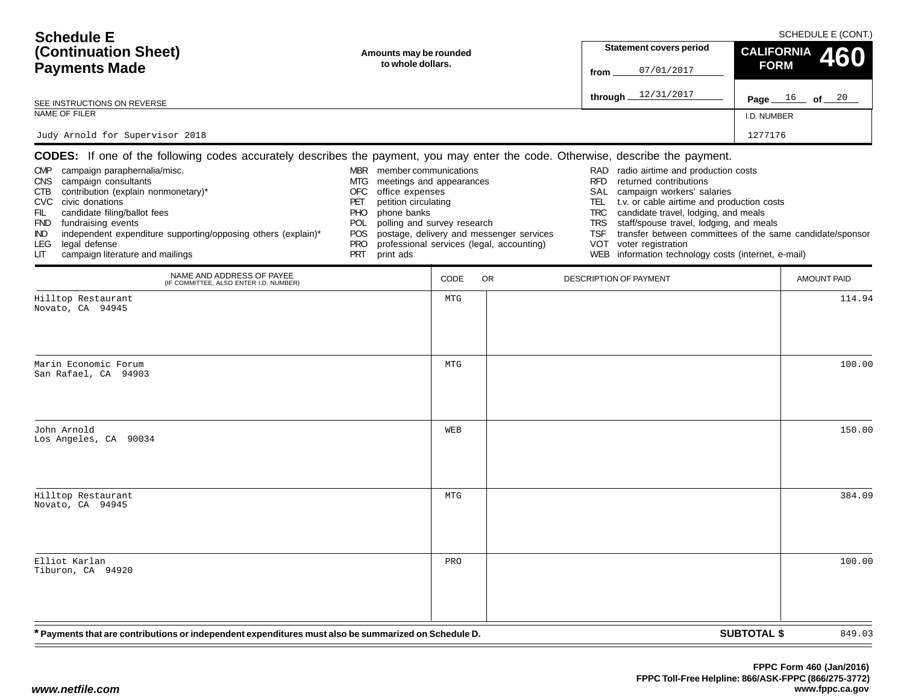| <b>Schedule E</b><br>(Continuation Sheet)<br><b>Payments Made</b>                                                                                                                                                                                                                                                                                                                                                                                                                      |                                                                                                                                                                                                                                                  | <b>Statement covers period</b><br>07/01/2017<br>from | SCHEDULE E (CONT.)<br><b>CALIFORNIA</b><br><b>FORM</b>                                | 460                                                                                                                                                                                                                                                                                                                                                                            |                                                           |        |
|----------------------------------------------------------------------------------------------------------------------------------------------------------------------------------------------------------------------------------------------------------------------------------------------------------------------------------------------------------------------------------------------------------------------------------------------------------------------------------------|--------------------------------------------------------------------------------------------------------------------------------------------------------------------------------------------------------------------------------------------------|------------------------------------------------------|---------------------------------------------------------------------------------------|--------------------------------------------------------------------------------------------------------------------------------------------------------------------------------------------------------------------------------------------------------------------------------------------------------------------------------------------------------------------------------|-----------------------------------------------------------|--------|
| SEE INSTRUCTIONS ON REVERSE                                                                                                                                                                                                                                                                                                                                                                                                                                                            |                                                                                                                                                                                                                                                  |                                                      |                                                                                       | through $12/31/2017$                                                                                                                                                                                                                                                                                                                                                           | Page $16$ of $20$                                         |        |
| NAME OF FILER                                                                                                                                                                                                                                                                                                                                                                                                                                                                          |                                                                                                                                                                                                                                                  |                                                      |                                                                                       |                                                                                                                                                                                                                                                                                                                                                                                | I.D. NUMBER                                               |        |
| Judy Arnold for Supervisor 2018                                                                                                                                                                                                                                                                                                                                                                                                                                                        |                                                                                                                                                                                                                                                  |                                                      |                                                                                       |                                                                                                                                                                                                                                                                                                                                                                                | 1277176                                                   |        |
| <b>CODES:</b> If one of the following codes accurately describes the payment, you may enter the code. Otherwise, describe the payment.<br>CMP campaign paraphernalia/misc.<br>CNS campaign consultants<br>CTB contribution (explain nonmonetary)*<br>CVC civic donations<br>candidate filing/ballot fees<br>FIL<br>FND fundraising events<br>independent expenditure supporting/opposing others (explain)*<br>IND.<br>legal defense<br>LEG.<br>campaign literature and mailings<br>LIТ | MBR member communications<br>meetings and appearances<br>MTG<br>office expenses<br>OFC<br>petition circulating<br>PET<br>phone banks<br><b>PHO</b><br>polling and survey research<br><b>POL</b><br>POS.<br><b>PRO</b><br><b>PRT</b><br>print ads |                                                      | postage, delivery and messenger services<br>professional services (legal, accounting) | radio airtime and production costs<br>RAD<br><b>RFD</b><br>returned contributions<br>SAL<br>campaign workers' salaries<br>TEL<br>t.v. or cable airtime and production costs<br>candidate travel, lodging, and meals<br>TRC<br>staff/spouse travel, lodging, and meals<br>TRS<br><b>TSF</b><br>voter registration<br>VOT<br>WEB information technology costs (internet, e-mail) | transfer between committees of the same candidate/sponsor |        |
| NAME AND ADDRESS OF PAYEE<br>(IF COMMITTEE, ALSO ENTER I.D. NUMBER)                                                                                                                                                                                                                                                                                                                                                                                                                    |                                                                                                                                                                                                                                                  | CODE                                                 | <b>OR</b>                                                                             | DESCRIPTION OF PAYMENT                                                                                                                                                                                                                                                                                                                                                         | AMOUNT PAID                                               |        |
| Hilltop Restaurant<br>Novato, CA 94945                                                                                                                                                                                                                                                                                                                                                                                                                                                 |                                                                                                                                                                                                                                                  | MTG                                                  |                                                                                       |                                                                                                                                                                                                                                                                                                                                                                                |                                                           | 114.94 |
| Marin Economic Forum<br>San Rafael, CA 94903                                                                                                                                                                                                                                                                                                                                                                                                                                           |                                                                                                                                                                                                                                                  | <b>MTG</b>                                           |                                                                                       |                                                                                                                                                                                                                                                                                                                                                                                |                                                           | 100.00 |
| John Arnold<br>Los Angeles, CA 90034                                                                                                                                                                                                                                                                                                                                                                                                                                                   |                                                                                                                                                                                                                                                  | WEB                                                  |                                                                                       |                                                                                                                                                                                                                                                                                                                                                                                |                                                           | 150.00 |
| Hilltop Restaurant<br>Novato, CA 94945                                                                                                                                                                                                                                                                                                                                                                                                                                                 |                                                                                                                                                                                                                                                  | MTG                                                  |                                                                                       |                                                                                                                                                                                                                                                                                                                                                                                |                                                           | 384.09 |
| Elliot Karlan<br>Tiburon, CA 94920                                                                                                                                                                                                                                                                                                                                                                                                                                                     |                                                                                                                                                                                                                                                  | PRO                                                  |                                                                                       |                                                                                                                                                                                                                                                                                                                                                                                |                                                           | 100.00 |
| * Payments that are contributions or independent expenditures must also be summarized on Schedule D.                                                                                                                                                                                                                                                                                                                                                                                   |                                                                                                                                                                                                                                                  |                                                      |                                                                                       |                                                                                                                                                                                                                                                                                                                                                                                | <b>SUBTOTAL \$</b>                                        | 849.03 |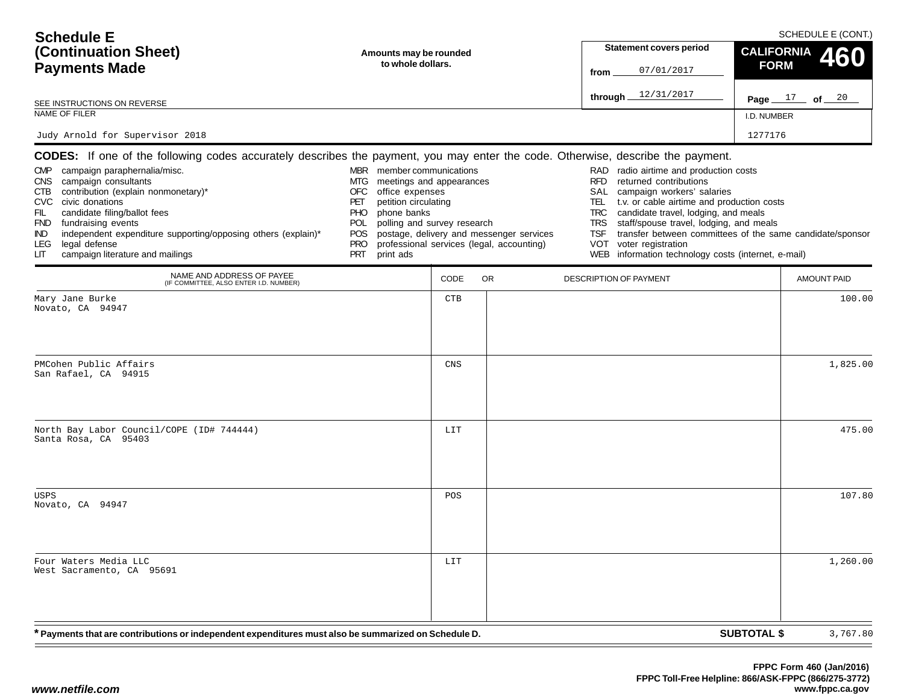| <b>Schedule E</b>                                                                                                                                                                                                                                                                                                                                                                                                                                                                         |                                                                                                                                                                                                                                           |      |                                                                                       | SCHEDULE E (CONT.)                                                                                     |                                                                                                                                                                                                                                                                                                                                                                   |                    |                    |  |
|-------------------------------------------------------------------------------------------------------------------------------------------------------------------------------------------------------------------------------------------------------------------------------------------------------------------------------------------------------------------------------------------------------------------------------------------------------------------------------------------|-------------------------------------------------------------------------------------------------------------------------------------------------------------------------------------------------------------------------------------------|------|---------------------------------------------------------------------------------------|--------------------------------------------------------------------------------------------------------|-------------------------------------------------------------------------------------------------------------------------------------------------------------------------------------------------------------------------------------------------------------------------------------------------------------------------------------------------------------------|--------------------|--------------------|--|
| (Continuation Sheet)                                                                                                                                                                                                                                                                                                                                                                                                                                                                      | Amounts may be rounded                                                                                                                                                                                                                    |      |                                                                                       | <b>Statement covers period</b>                                                                         | <b>CALIFORNIA</b><br>460                                                                                                                                                                                                                                                                                                                                          |                    |                    |  |
| <b>Payments Made</b>                                                                                                                                                                                                                                                                                                                                                                                                                                                                      | to whole dollars.                                                                                                                                                                                                                         |      | from                                                                                  | 07/01/2017                                                                                             | <b>FORM</b>                                                                                                                                                                                                                                                                                                                                                       |                    |                    |  |
| SEE INSTRUCTIONS ON REVERSE                                                                                                                                                                                                                                                                                                                                                                                                                                                               |                                                                                                                                                                                                                                           |      |                                                                                       | through _                                                                                              | 12/31/2017                                                                                                                                                                                                                                                                                                                                                        |                    | Page $17$ of $20$  |  |
| NAME OF FILER                                                                                                                                                                                                                                                                                                                                                                                                                                                                             |                                                                                                                                                                                                                                           |      |                                                                                       |                                                                                                        |                                                                                                                                                                                                                                                                                                                                                                   | I.D. NUMBER        |                    |  |
| Judy Arnold for Supervisor 2018                                                                                                                                                                                                                                                                                                                                                                                                                                                           |                                                                                                                                                                                                                                           |      |                                                                                       |                                                                                                        |                                                                                                                                                                                                                                                                                                                                                                   | 1277176            |                    |  |
| <b>CODES:</b> If one of the following codes accurately describes the payment, you may enter the code. Otherwise, describe the payment.<br>CMP campaign paraphernalia/misc.<br>CNS campaign consultants<br>contribution (explain nonmonetary)*<br>CTB<br>CVC civic donations<br>FIL<br>candidate filing/ballot fees<br>FND fundraising events<br>independent expenditure supporting/opposing others (explain)*<br>IND.<br>legal defense<br>LEG.<br>campaign literature and mailings<br>LIТ | MBR member communications<br>meetings and appearances<br>MTG.<br><b>OFC</b><br>office expenses<br>petition circulating<br>PET<br>phone banks<br>PHO<br>polling and survey research<br>POL<br>POS<br><b>PRO</b><br><b>PRT</b><br>print ads |      | postage, delivery and messenger services<br>professional services (legal, accounting) | RAD<br><b>RFD</b><br>SAL<br>TEL.<br><b>TRC</b><br><b>TRS</b><br><b>TSF</b><br><b>VOT</b><br><b>WEB</b> | radio airtime and production costs<br>returned contributions<br>campaign workers' salaries<br>t.v. or cable airtime and production costs<br>candidate travel, lodging, and meals<br>staff/spouse travel, lodging, and meals<br>transfer between committees of the same candidate/sponsor<br>voter registration<br>information technology costs (internet, e-mail) |                    |                    |  |
| NAME AND ADDRESS OF PAYEE<br>(IF COMMITTEE, ALSO ENTER I.D. NUMBER)                                                                                                                                                                                                                                                                                                                                                                                                                       |                                                                                                                                                                                                                                           | CODE | <b>OR</b>                                                                             | DESCRIPTION OF PAYMENT                                                                                 |                                                                                                                                                                                                                                                                                                                                                                   |                    | <b>AMOUNT PAID</b> |  |
| Mary Jane Burke<br>Novato, CA 94947                                                                                                                                                                                                                                                                                                                                                                                                                                                       |                                                                                                                                                                                                                                           | CTB  |                                                                                       |                                                                                                        |                                                                                                                                                                                                                                                                                                                                                                   |                    | 100.00             |  |
| PMCohen Public Affairs<br>San Rafael, CA 94915                                                                                                                                                                                                                                                                                                                                                                                                                                            |                                                                                                                                                                                                                                           | CNS  |                                                                                       |                                                                                                        |                                                                                                                                                                                                                                                                                                                                                                   |                    | 1,825.00           |  |
| North Bay Labor Council/COPE (ID# 744444)<br>Santa Rosa, CA 95403                                                                                                                                                                                                                                                                                                                                                                                                                         |                                                                                                                                                                                                                                           | LIT  |                                                                                       |                                                                                                        |                                                                                                                                                                                                                                                                                                                                                                   |                    | 475.00             |  |
| USPS<br>Novato, CA 94947                                                                                                                                                                                                                                                                                                                                                                                                                                                                  |                                                                                                                                                                                                                                           | POS  |                                                                                       |                                                                                                        |                                                                                                                                                                                                                                                                                                                                                                   |                    | 107.80             |  |
| Four Waters Media LLC<br>West Sacramento, CA 95691                                                                                                                                                                                                                                                                                                                                                                                                                                        |                                                                                                                                                                                                                                           | LIT  |                                                                                       |                                                                                                        |                                                                                                                                                                                                                                                                                                                                                                   |                    | 1,260.00           |  |
| * Payments that are contributions or independent expenditures must also be summarized on Schedule D.                                                                                                                                                                                                                                                                                                                                                                                      |                                                                                                                                                                                                                                           |      |                                                                                       |                                                                                                        |                                                                                                                                                                                                                                                                                                                                                                   | <b>SUBTOTAL \$</b> | 3,767.80           |  |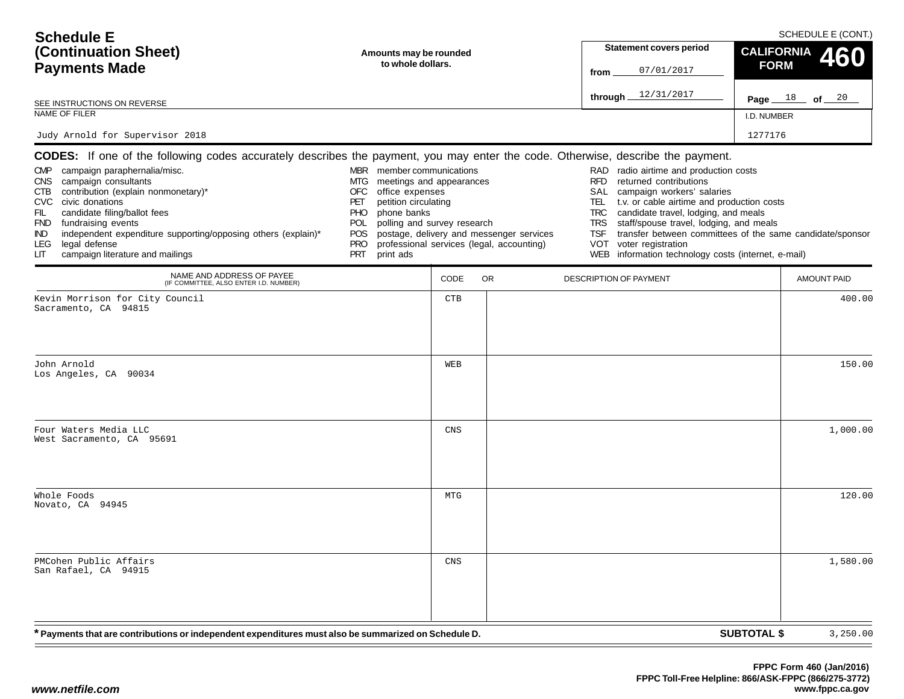| <b>Schedule E</b>                                                                                                                                                                                                                                                                                                                                                                                                                                                                                   |                                                                                                                                                                                                                                                          |                                             |                                                                                       | SCHEDULE E (CONT.)                                                                |                                                                                                                                                                                                                                                                                                                                                                       |                                        |                    |  |
|-----------------------------------------------------------------------------------------------------------------------------------------------------------------------------------------------------------------------------------------------------------------------------------------------------------------------------------------------------------------------------------------------------------------------------------------------------------------------------------------------------|----------------------------------------------------------------------------------------------------------------------------------------------------------------------------------------------------------------------------------------------------------|---------------------------------------------|---------------------------------------------------------------------------------------|-----------------------------------------------------------------------------------|-----------------------------------------------------------------------------------------------------------------------------------------------------------------------------------------------------------------------------------------------------------------------------------------------------------------------------------------------------------------------|----------------------------------------|--------------------|--|
| (Continuation Sheet)                                                                                                                                                                                                                                                                                                                                                                                                                                                                                |                                                                                                                                                                                                                                                          | Amounts may be rounded<br>to whole dollars. |                                                                                       |                                                                                   | <b>Statement covers period</b>                                                                                                                                                                                                                                                                                                                                        | <b>CALIFORNIA</b><br>60<br><b>FORM</b> |                    |  |
| <b>Payments Made</b>                                                                                                                                                                                                                                                                                                                                                                                                                                                                                |                                                                                                                                                                                                                                                          |                                             |                                                                                       |                                                                                   | 07/01/2017                                                                                                                                                                                                                                                                                                                                                            |                                        |                    |  |
| SEE INSTRUCTIONS ON REVERSE                                                                                                                                                                                                                                                                                                                                                                                                                                                                         |                                                                                                                                                                                                                                                          |                                             |                                                                                       | through.                                                                          | 12/31/2017                                                                                                                                                                                                                                                                                                                                                            | Page $18$ of $20$                      |                    |  |
| NAME OF FILER                                                                                                                                                                                                                                                                                                                                                                                                                                                                                       |                                                                                                                                                                                                                                                          |                                             |                                                                                       |                                                                                   |                                                                                                                                                                                                                                                                                                                                                                       | I.D. NUMBER                            |                    |  |
| Judy Arnold for Supervisor 2018                                                                                                                                                                                                                                                                                                                                                                                                                                                                     |                                                                                                                                                                                                                                                          |                                             |                                                                                       |                                                                                   |                                                                                                                                                                                                                                                                                                                                                                       | 1277176                                |                    |  |
| <b>CODES:</b> If one of the following codes accurately describes the payment, you may enter the code. Otherwise, describe the payment.<br>CMP campaign paraphernalia/misc.<br>campaign consultants<br><b>CNS</b><br>contribution (explain nonmonetary)*<br>CTB<br>CVC civic donations<br>FIL<br>candidate filing/ballot fees<br>FND fundraising events<br>independent expenditure supporting/opposing others (explain)*<br>IND.<br>legal defense<br>LEG.<br>campaign literature and mailings<br>LІТ | MBR member communications<br>meetings and appearances<br>MTG.<br><b>OFC</b><br>office expenses<br>PET<br>petition circulating<br>phone banks<br><b>PHO</b><br>polling and survey research<br><b>POL</b><br>POS.<br><b>PRO</b><br>print ads<br><b>PRT</b> |                                             | postage, delivery and messenger services<br>professional services (legal, accounting) | RAD<br><b>RFD</b><br>SAL<br>TEL.<br><b>TRC</b><br><b>TRS</b><br><b>TSF</b><br>VOT | radio airtime and production costs<br>returned contributions<br>campaign workers' salaries<br>t.v. or cable airtime and production costs<br>candidate travel, lodging, and meals<br>staff/spouse travel, lodging, and meals<br>transfer between committees of the same candidate/sponsor<br>voter registration<br>WEB information technology costs (internet, e-mail) |                                        |                    |  |
| NAME AND ADDRESS OF PAYEE<br>(IF COMMITTEE, ALSO ENTER I.D. NUMBER)                                                                                                                                                                                                                                                                                                                                                                                                                                 |                                                                                                                                                                                                                                                          | CODE                                        | <b>OR</b>                                                                             |                                                                                   | <b>DESCRIPTION OF PAYMENT</b>                                                                                                                                                                                                                                                                                                                                         |                                        | <b>AMOUNT PAID</b> |  |
| Kevin Morrison for City Council<br>Sacramento, CA 94815                                                                                                                                                                                                                                                                                                                                                                                                                                             |                                                                                                                                                                                                                                                          | <b>CTB</b>                                  |                                                                                       |                                                                                   |                                                                                                                                                                                                                                                                                                                                                                       |                                        | 400.00             |  |
| John Arnold<br>Los Angeles, CA 90034                                                                                                                                                                                                                                                                                                                                                                                                                                                                |                                                                                                                                                                                                                                                          | WEB                                         |                                                                                       |                                                                                   |                                                                                                                                                                                                                                                                                                                                                                       |                                        | 150.00             |  |
| Four Waters Media LLC<br>West Sacramento, CA 95691                                                                                                                                                                                                                                                                                                                                                                                                                                                  |                                                                                                                                                                                                                                                          | <b>CNS</b>                                  |                                                                                       |                                                                                   |                                                                                                                                                                                                                                                                                                                                                                       |                                        | 1,000.00           |  |
| Whole Foods<br>Novato, CA 94945                                                                                                                                                                                                                                                                                                                                                                                                                                                                     |                                                                                                                                                                                                                                                          | <b>MTG</b>                                  |                                                                                       |                                                                                   |                                                                                                                                                                                                                                                                                                                                                                       |                                        | 120.00             |  |
| PMCohen Public Affairs<br>San Rafael, CA 94915                                                                                                                                                                                                                                                                                                                                                                                                                                                      |                                                                                                                                                                                                                                                          | CNS                                         |                                                                                       |                                                                                   |                                                                                                                                                                                                                                                                                                                                                                       |                                        | 1,580.00           |  |
| * Payments that are contributions or independent expenditures must also be summarized on Schedule D.                                                                                                                                                                                                                                                                                                                                                                                                |                                                                                                                                                                                                                                                          |                                             |                                                                                       |                                                                                   |                                                                                                                                                                                                                                                                                                                                                                       | <b>SUBTOTAL \$</b>                     | 3,250.00           |  |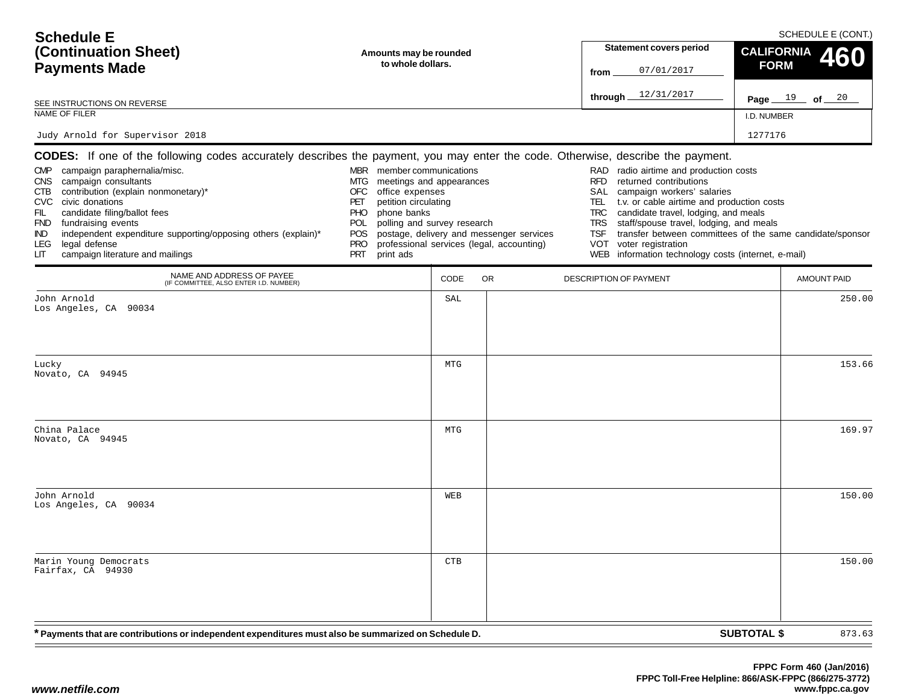| <b>Schedule E</b>                                                                                                                                                                                                                                                                                                                                                                                                                                                                                   |                                                                                                                                                                                                                                                         |                                             |                                                                                       |                                                                                    |                                                                                                                                                                                                                                                                                                                                                                       | SCHEDULE E (CONT.) |                                        |  |  |  |
|-----------------------------------------------------------------------------------------------------------------------------------------------------------------------------------------------------------------------------------------------------------------------------------------------------------------------------------------------------------------------------------------------------------------------------------------------------------------------------------------------------|---------------------------------------------------------------------------------------------------------------------------------------------------------------------------------------------------------------------------------------------------------|---------------------------------------------|---------------------------------------------------------------------------------------|------------------------------------------------------------------------------------|-----------------------------------------------------------------------------------------------------------------------------------------------------------------------------------------------------------------------------------------------------------------------------------------------------------------------------------------------------------------------|--------------------|----------------------------------------|--|--|--|
| (Continuation Sheet)                                                                                                                                                                                                                                                                                                                                                                                                                                                                                |                                                                                                                                                                                                                                                         | Amounts may be rounded<br>to whole dollars. |                                                                                       |                                                                                    | <b>Statement covers period</b>                                                                                                                                                                                                                                                                                                                                        |                    | <b>CALIFORNIA</b><br>60<br><b>FORM</b> |  |  |  |
| <b>Payments Made</b>                                                                                                                                                                                                                                                                                                                                                                                                                                                                                |                                                                                                                                                                                                                                                         |                                             |                                                                                       |                                                                                    | 07/01/2017<br>from                                                                                                                                                                                                                                                                                                                                                    |                    |                                        |  |  |  |
| SEE INSTRUCTIONS ON REVERSE                                                                                                                                                                                                                                                                                                                                                                                                                                                                         |                                                                                                                                                                                                                                                         |                                             |                                                                                       | through.                                                                           | 12/31/2017                                                                                                                                                                                                                                                                                                                                                            |                    | Page $19$ of $20$                      |  |  |  |
| NAME OF FILER                                                                                                                                                                                                                                                                                                                                                                                                                                                                                       |                                                                                                                                                                                                                                                         |                                             |                                                                                       |                                                                                    |                                                                                                                                                                                                                                                                                                                                                                       | I.D. NUMBER        |                                        |  |  |  |
| Judy Arnold for Supervisor 2018                                                                                                                                                                                                                                                                                                                                                                                                                                                                     |                                                                                                                                                                                                                                                         |                                             |                                                                                       |                                                                                    |                                                                                                                                                                                                                                                                                                                                                                       | 1277176            |                                        |  |  |  |
| <b>CODES:</b> If one of the following codes accurately describes the payment, you may enter the code. Otherwise, describe the payment.<br>CMP campaign paraphernalia/misc.<br>CNS campaign consultants<br>contribution (explain nonmonetary)*<br>CTB<br><b>CVC</b><br>civic donations<br>FIL<br>candidate filing/ballot fees<br>FND fundraising events<br>independent expenditure supporting/opposing others (explain)*<br>IND.<br>legal defense<br>LEG.<br>campaign literature and mailings<br>LIТ | MBR member communications<br>meetings and appearances<br>MTG.<br><b>OFC</b><br>office expenses<br>PET<br>petition circulating<br>phone banks<br><b>PHO</b><br>polling and survey research<br><b>POL</b><br>POS<br><b>PRO</b><br><b>PRT</b><br>print ads |                                             | postage, delivery and messenger services<br>professional services (legal, accounting) | RAD.<br><b>RFD</b><br>SAL<br>TEL.<br><b>TRC</b><br><b>TRS</b><br><b>TSF</b><br>VOT | radio airtime and production costs<br>returned contributions<br>campaign workers' salaries<br>t.v. or cable airtime and production costs<br>candidate travel, lodging, and meals<br>staff/spouse travel, lodging, and meals<br>transfer between committees of the same candidate/sponsor<br>voter registration<br>WEB information technology costs (internet, e-mail) |                    |                                        |  |  |  |
| NAME AND ADDRESS OF PAYEE<br>(IF COMMITTEE, ALSO ENTER I.D. NUMBER)                                                                                                                                                                                                                                                                                                                                                                                                                                 |                                                                                                                                                                                                                                                         | CODE                                        | <b>OR</b>                                                                             |                                                                                    | DESCRIPTION OF PAYMENT                                                                                                                                                                                                                                                                                                                                                |                    | <b>AMOUNT PAID</b>                     |  |  |  |
| John Arnold<br>Los Angeles, CA 90034                                                                                                                                                                                                                                                                                                                                                                                                                                                                |                                                                                                                                                                                                                                                         | SAL                                         |                                                                                       |                                                                                    |                                                                                                                                                                                                                                                                                                                                                                       |                    | 250.00                                 |  |  |  |
| Lucky<br>Novato, CA 94945                                                                                                                                                                                                                                                                                                                                                                                                                                                                           |                                                                                                                                                                                                                                                         | <b>MTG</b>                                  |                                                                                       |                                                                                    |                                                                                                                                                                                                                                                                                                                                                                       |                    | 153.66                                 |  |  |  |
| China Palace<br>Novato, CA 94945                                                                                                                                                                                                                                                                                                                                                                                                                                                                    |                                                                                                                                                                                                                                                         | <b>MTG</b>                                  |                                                                                       |                                                                                    |                                                                                                                                                                                                                                                                                                                                                                       |                    | 169.97                                 |  |  |  |
| John Arnold<br>Los Angeles, CA 90034                                                                                                                                                                                                                                                                                                                                                                                                                                                                |                                                                                                                                                                                                                                                         | WEB                                         |                                                                                       |                                                                                    |                                                                                                                                                                                                                                                                                                                                                                       |                    | 150.00                                 |  |  |  |
| Marin Young Democrats<br>Fairfax, CA 94930                                                                                                                                                                                                                                                                                                                                                                                                                                                          |                                                                                                                                                                                                                                                         | CTB                                         |                                                                                       |                                                                                    |                                                                                                                                                                                                                                                                                                                                                                       |                    | 150.00                                 |  |  |  |
| * Payments that are contributions or independent expenditures must also be summarized on Schedule D.                                                                                                                                                                                                                                                                                                                                                                                                |                                                                                                                                                                                                                                                         |                                             |                                                                                       |                                                                                    |                                                                                                                                                                                                                                                                                                                                                                       | <b>SUBTOTAL \$</b> | 873.63                                 |  |  |  |